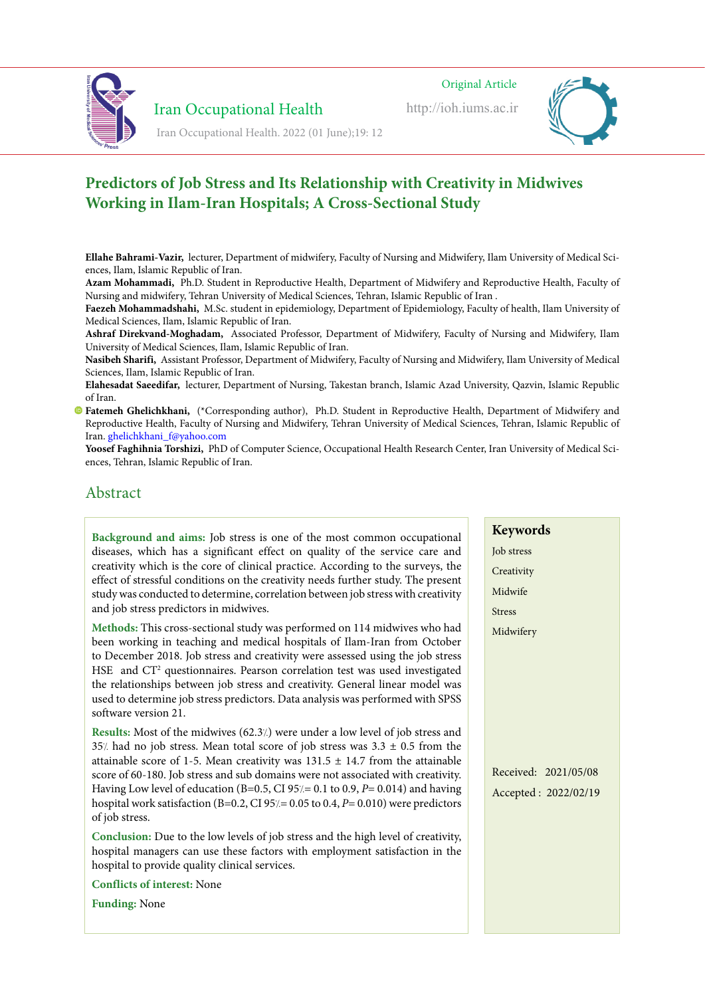

**Iran Occupational Health** 

ir.ac.iums.ioh://http://http://http://http://http://http://http://http://http://http://http://http://http://http://http://http://http://http://http://http://http://http://http://http://http://http://http://http://http://ht Original Article ir.ac.iums.ioh://http://<sub>http</sub> official Iran Iran Occupational Iran Occupational Iran Occupational Iran Occupational Iran Occupational Iran Occupational Iran Occupational Iran Occupational Iran Occupational Iran Occupation

http://ioh.iums.ac.ir



**Iran Occupational Health**<br>Iran Occupational Health. 2022 (01 June);19: 12

#### **Predictors of Job Stress and Its Relationship with Creativity in Midwives Working in Ilam-Iran Hospitals: A Cross-Sectional Study and workplaces office the in assessment temperature color and Lighting facture visual to relationship and istory of Joh Ctusse and Its Delationship with Quastivity in Midwin**  $\frac{1}{2}$ **f**  $\frac{1}{2}$   $\frac{1}{2}$   $\frac{1}{2}$   $\frac{1}{2}$   $\frac{1}{2}$   $\frac{1}{2}$   $\frac{1}{2}$   $\frac{1}{2}$   $\frac{1}{2}$   $\frac{1}{2}$   $\frac{1}{2}$   $\frac{1}{2}$   $\frac{1}{2}$   $\frac{1}{2}$   $\frac{1}{2}$   $\frac{1}{2}$   $\frac{1}{2}$   $\frac{1}{2}$   $\frac{1}{2}$   $\frac{1}{2}$   $\frac{1}{2}$

**Ellahe Bahrami-Vazir,** lecturer, Department of midwifery, Faculty of Nursing and Midwifery, Ilam University of Medical Sci-<br>ences, Ilam, Islamic Republic of Iran. ces, Ilam, Islamic Republic of Iran.

Azam Mohammadi, Ph.D. Student in Reproductive Health, Department of Midwifery and Reproductive Health, Faculty of Nursing and midwifery, Tehran University of Medical Sciences, Tehran, Islamic Republic of Iran.

**Faczeh Mohammadshahi,** M.Sc. student in epidemiology, Department of Epidemiology, Faculty of health, Ilam University of Medical Sciences, Ilam, Islamic Republic of Iran.

Ashraf Direkvand-Moghadam, Associated Professor, Department of Midwifery, Faculty of Nursing and Midwifery, Ilam The Pressure of Medical Sciences, Ilam, Islamic Republic of Iran.

Masibeh Sharifi, Assistant Professor, Department of Midwifery, Faculty of Nursing and Midwifery, Ilam University of Medical Sciences, Ilam, Islamic Republic of Iran. **Keywords**

scicitics, nam, islamic Republic of Han.<br>**Elahesadat Saeedifar,** lecturer, Department of Nursing, Takestan branch, Islamic Azad University, Qazvin, Islamic Republic of Iran. anesadat saecunar, Tecturel, Department of Nursing, Takestan branch, Islannc Azad University, Qaz<br>Leo menees, nam, isianne republic of fran.<br>Abacadat Cacadifan, Jacturen Denartment of Nursing Takestan bronak, Islamia Anad I allitaauat sattunai, lecturel, Department of ivursing, fakestali branch, islanne Azau Omversity, Qaz<br>Light

of Han.<br>**[F](https://orcid.org/0000-0002-2911-9756)atemeh Ghelichkhani,** (\*Corresponding author), Ph.D. Student in Reproductive Health, Department of Midwifery and Reproductive Health, Faculty of Nursing and Midwifery, Tehran University of Medical Sciences, Tehran, Islamic Republic of<br>In India the providing in the providing in the providing in the providing in the providing in the pr Iran. ghelichkhani f@yahoo.com ntan.<br> **temeh Ghelichkhani**, (\*Corresponding author), Ph.D. Student in Reproductive Health, Department of Midward and e menten diferential . Corresponding addition, The station in Reproductive Tre<br>was herting Herble Ferrito of Maniton and Midwifens Tehnen Heimatike of Medical C eproductive riealiti, racuity of Nursing and Midwifery, Tenrah University of Medical Sciences, Tenrah, Islan especial organizations working components working components working can light provide can Lighting .workplace the can Lighting and Lighting and Lighting and Lighting and Lighting and Lighting and Lighting and Lighting and

Tran. ghenchkham\_n@yanoo.com<br>**Yoosef Faghihnia Torshizi,** PhD of Computer Science, Occupational Health Research Center, Iran University of Medical Sci-<br>ences, Tehran, Islamic Republic of Iran. the indicate in Defects . The indicate of the indicate of the cannot relate the cannot Earth on Life . Computer science, Occupational relation research Ge ces, feman, islamic republic of fran. the indicate in Defects . It is a new computer science, Occupational Health Research Control on Table . The can

# Abstract to essential is lightness of temperature color and brightness of intensity the monitoring the monitoring the monitoring the monitoring the monitoring the monitoring the monitoring the monitoring the monitoring the

| Background and aims: Job stress is one of the most common occupational<br>diseases, which has a significant effect on quality of the service care and<br>creativity which is the core of clinical practice. According to the surveys, the<br>effect of stressful conditions on the creativity needs further study. The present<br>study was conducted to determine, correlation between job stress with creativity<br>and job stress predictors in midwives.                                                                                     | <b>Keywords</b><br>Job stress<br>Creativity<br>Midwife<br><b>Stress</b> |
|--------------------------------------------------------------------------------------------------------------------------------------------------------------------------------------------------------------------------------------------------------------------------------------------------------------------------------------------------------------------------------------------------------------------------------------------------------------------------------------------------------------------------------------------------|-------------------------------------------------------------------------|
| Methods: This cross-sectional study was performed on 114 midwives who had<br>been working in teaching and medical hospitals of Ilam-Iran from October<br>to December 2018. Job stress and creativity were assessed using the job stress<br>HSE and CT <sup>2</sup> questionnaires. Pearson correlation test was used investigated<br>the relationships between job stress and creativity. General linear model was<br>used to determine job stress predictors. Data analysis was performed with SPSS<br>software version 21.                     | Midwifery                                                               |
| Results: Most of the midwives (62.3/) were under a low level of job stress and<br>$35$ % had no job stress. Mean total score of job stress was $3.3 \pm 0.5$ from the<br>attainable score of 1-5. Mean creativity was $131.5 \pm 14.7$ from the attainable<br>score of 60-180. Job stress and sub domains were not associated with creativity.<br>Having Low level of education (B=0.5, CI 95 $/$ = 0.1 to 0.9, P= 0.014) and having<br>nospital work satisfaction (B=0.2, CI 95/= $0.05$ to 0.4, P= $0.010$ ) were predictors<br>of job stress. | Received: 2021/05/08<br>Accepted: 2022/02/19                            |
| Conclusion: Due to the low levels of job stress and the high level of creativity,<br>nospital managers can use these factors with employment satisfaction in the<br>nospital to provide quality clinical services.                                                                                                                                                                                                                                                                                                                               |                                                                         |
| <b>Conflicts of interest: None</b>                                                                                                                                                                                                                                                                                                                                                                                                                                                                                                               |                                                                         |
| <b>Funding: None</b>                                                                                                                                                                                                                                                                                                                                                                                                                                                                                                                             |                                                                         |
|                                                                                                                                                                                                                                                                                                                                                                                                                                                                                                                                                  |                                                                         |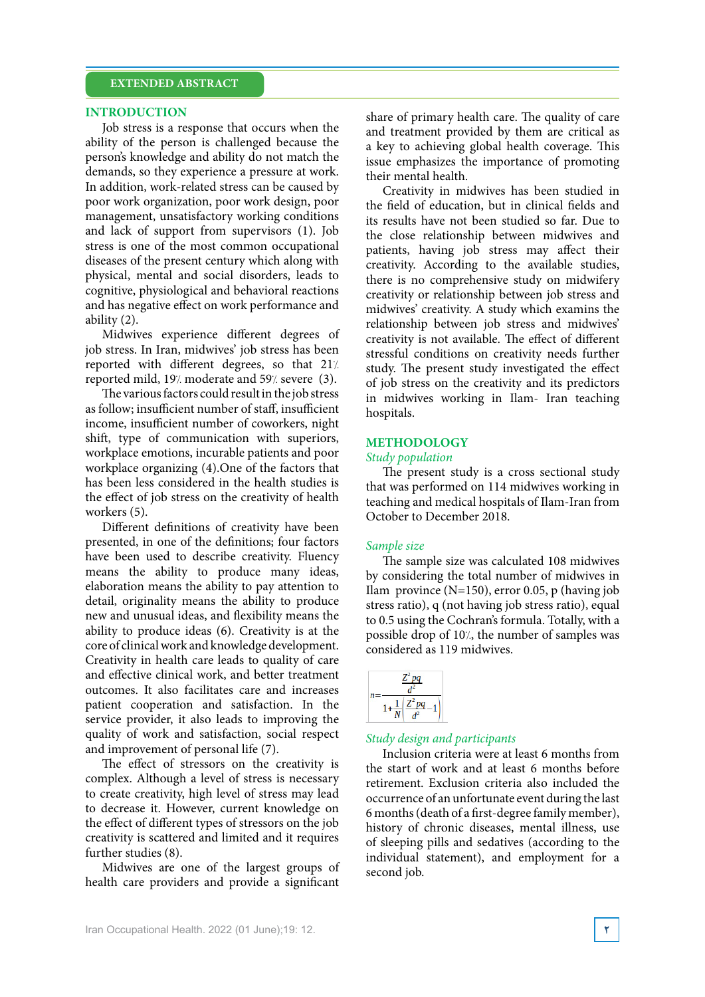## **EXTENDED ABSTRACT**

### **INTRODUCTION**

Job stress is a response that occurs when the ability of the person is challenged because the person's knowledge and ability do not match the demands, so they experience a pressure at work. In addition, work-related stress can be caused by poor work organization, poor work design, poor management, unsatisfactory working conditions and lack of support from supervisors (1). Job stress is one of the most common occupational diseases of the present century which along with physical, mental and social disorders, leads to cognitive, physiological and behavioral reactions and has negative effect on work performance and ability (2).

Midwives experience different degrees of job stress. In Iran, midwives' job stress has been reported with different degrees, so that 21% reported mild, 19% moderate and 59% severe (3).

The various factors could result in the job stress as follow; insufficient number of staff, insufficient income, insufficient number of coworkers, night shift, type of communication with superiors, workplace emotions, incurable patients and poor workplace organizing  $(4)$ . One of the factors that has been less considered in the health studies is the effect of job stress on the creativity of health workers  $(5)$ .

Different definitions of creativity have been presented, in one of the definitions; four factors have been used to describe creativity. Fluency means the ability to produce many ideas, elaboration means the ability to pay attention to detail, originality means the ability to produce new and unusual ideas, and flexibility means the ability to produce ideas  $(6)$ . Creativity is at the core of clinical work and knowledge development. Creativity in health care leads to quality of care and effective clinical work, and better treatment outcomes. It also facilitates care and increases patient cooperation and satisfaction. In the service provider, it also leads to improving the quality of work and satisfaction, social respect and improvement of personal life (7).

The effect of stressors on the creativity is complex. Although a level of stress is necessary to create creativity, high level of stress may lead to decrease it. However, current knowledge on the effect of different types of stressors on the job creativity is scattered and limited and it requires further studies  $(8)$ .

Midwives are one of the largest groups of health care providers and provide a significant share of primary health care. The quality of care and treatment provided by them are critical as a key to achieving global health coverage. This issue emphasizes the importance of promoting their mental health.

Creativity in midwives has been studied in the field of education, but in clinical fields and its results have not been studied so far. Due to the close relationship between midwives and patients, having job stress may affect their creativity. According to the available studies, there is no comprehensive study on midwifery creativity or relationship between job stress and midwives' creativity. A study which examins the relationship between job stress and midwives' creativity is not available. The effect of different stressful conditions on creativity needs further study. The present study investigated the effect of job stress on the creativity and its predictors in midwives working in Ilam- Iran teaching hospitals.

### **METHODOLOGY**

#### *Study* population

The present study is a cross sectional study that was performed on 114 midwives working in teaching and medical hospitals of Ilam-Iran from October to December 2018.

### *size Sample*

The sample size was calculated 108 midwives by considering the total number of midwives in Ilam province  $(N=150)$ , error 0.05, p (having job stress ratio), q (not having job stress ratio), equal to 0.5 using the Cochran's formula. Totally, with a possible drop of 10%, the number of samples was considered as 119 midwives.

| na |  |
|----|--|
| nc |  |

## *Study design and participants*

Inclusion criteria were at least 6 months from the start of work and at least 6 months before retirement. Exclusion criteria also included the occurrence of an unfortunate event during the last 6 months (death of a first-degree family member), history of chronic diseases, mental illness, use of sleeping pills and sedatives (according to the individual statement), and employment for a second job.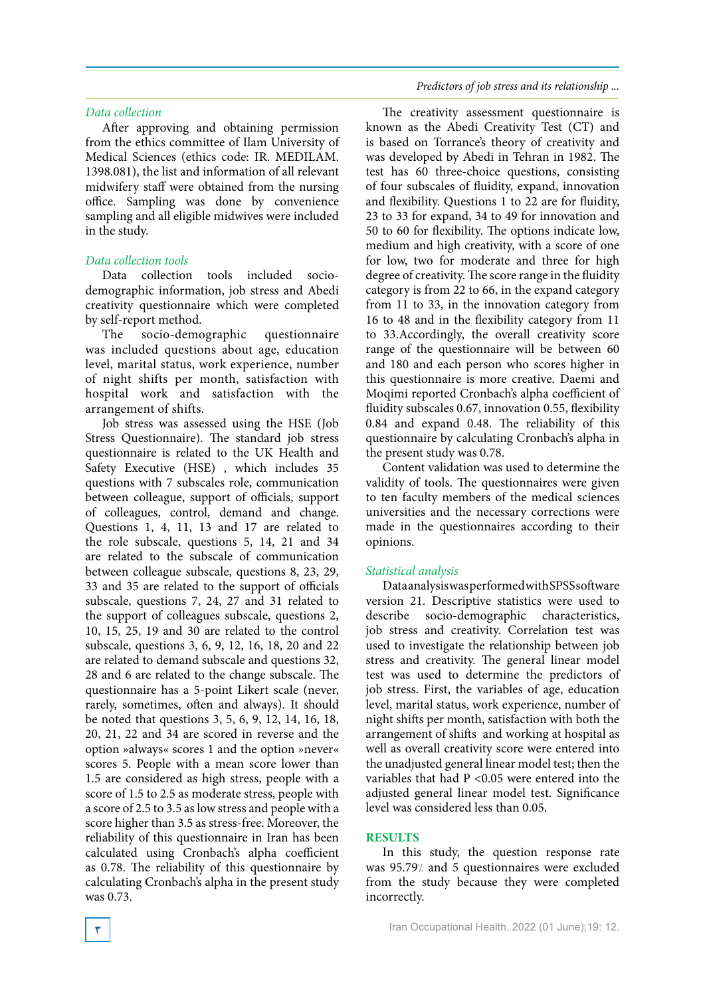### *Data* collection

After approving and obtaining permission from the ethics committee of Ilam University of Medical Sciences (ethics code: IR. MEDILAM. 1398.081), the list and information of all relevant midwifery staff were obtained from the nursing office. Sampling was done by convenience sampling and all eligible midwives were included in the study.

### *tools collection Data*

demographic information, job stress and Abedi Data collection tools included sociocreativity questionnaire which were completed by self-report method.

The socio-demographic questionnaire was included questions about age, education level, marital status, work experience, number of night shifts per month, satisfaction with hospital work and satisfaction with the arrangement of shifts.

Job stress was assessed using the HSE (Job Stress Questionnaire). The standard job stress questionnaire is related to the UK Health and Safety Executive (HSE), which includes 35 questions with 7 subscales role, communication between colleague, support of officials, support of colleagues, control, demand and change. Questions 1, 4, 11, 13 and 17 are related to the role subscale, questions  $5$ ,  $14$ ,  $21$  and  $34$ are related to the subscale of communication between colleague subscale, questions 8, 23, 29, 33 and 35 are related to the support of officials subscale, questions 7, 24, 27 and 31 related to the support of colleagues subscale, questions 2, 10, 15, 25, 19 and 30 are related to the control subscale, questions 3, 6, 9, 12, 16, 18, 20 and 22 are related to demand subscale and questions 32, 28 and 6 are related to the change subscale. The questionnaire has a 5-point Likert scale (never, rarely, sometimes, often and always). It should be noted that questions  $3, 5, 6, 9, 12, 14, 16, 18$ ,  $20, 21, 22$  and  $34$  are scored in reverse and the option »always« scores 1 and the option »never« scores 5. People with a mean score lower than 1.5 are considered as high stress, people with a score of 1.5 to 2.5 as moderate stress, people with a score of 2.5 to 3.5 as low stress and people with a score higher than 3.5 as stress-free. Moreover, the reliability of this questionnaire in Iran has been calculated using Cronbach's alpha coefficient as 0.78. The reliability of this questionnaire by calculating Cronbach's alpha in the present study was 0.73.

*Predictors of job stress and its relationship ...* 

The creativity assessment questionnaire is known as the Abedi Creativity Test (CT) and is based on Torrance's theory of creativity and was developed by Abedi in Tehran in 1982. The test has 60 three-choice questions, consisting of four subscales of fluidity, expand, innovation and flexibility. Questions 1 to 22 are for fluidity, 23 to 33 for expand, 34 to 49 for innovation and 50 to 60 for flexibility. The options indicate low, medium and high creativity, with a score of one for low, two for moderate and three for high degree of creativity. The score range in the fluidity category is from 22 to 66, in the expand category from  $11$  to  $33$ , in the innovation category from 16 to 48 and in the flexibility category from 11 to 33. Accordingly, the overall creativity score range of the questionnaire will be between 60 and 180 and each person who scores higher in this questionnaire is more creative. Daemi and Moqimi reported Cronbach's alpha coefficient of fluidity subscales 0.67, innovation 0.55, flexibility 0.84 and expand 0.48. The reliability of this questionnaire by calculating Cronbach's alpha in the present study was 0.78.

Content validation was used to determine the validity of tools. The questionnaires were given to ten faculty members of the medical sciences universities and the necessary corrections were made in the questionnaires according to their .opinions

### *analysis Statistical*

Dataanalysis was performed with SPSS software version 21. Descriptive statistics were used to describe socio-demographic characteristics, job stress and creativity. Correlation test was used to investigate the relationship between job stress and creativity. The general linear model test was used to determine the predictors of job stress. First, the variables of age, education level, marital status, work experience, number of night shifts per month, satisfaction with both the arrangement of shifts and working at hospital as well as overall creativity score were entered into the unadjusted general linear model test; then the variables that had  $P < 0.05$  were entered into the adjusted general linear model test. Significance level was considered less than 0.05.

### **RESULTS**

In this study, the question response rate was 95.79% and 5 questionnaires were excluded from the study because they were completed .incorrectly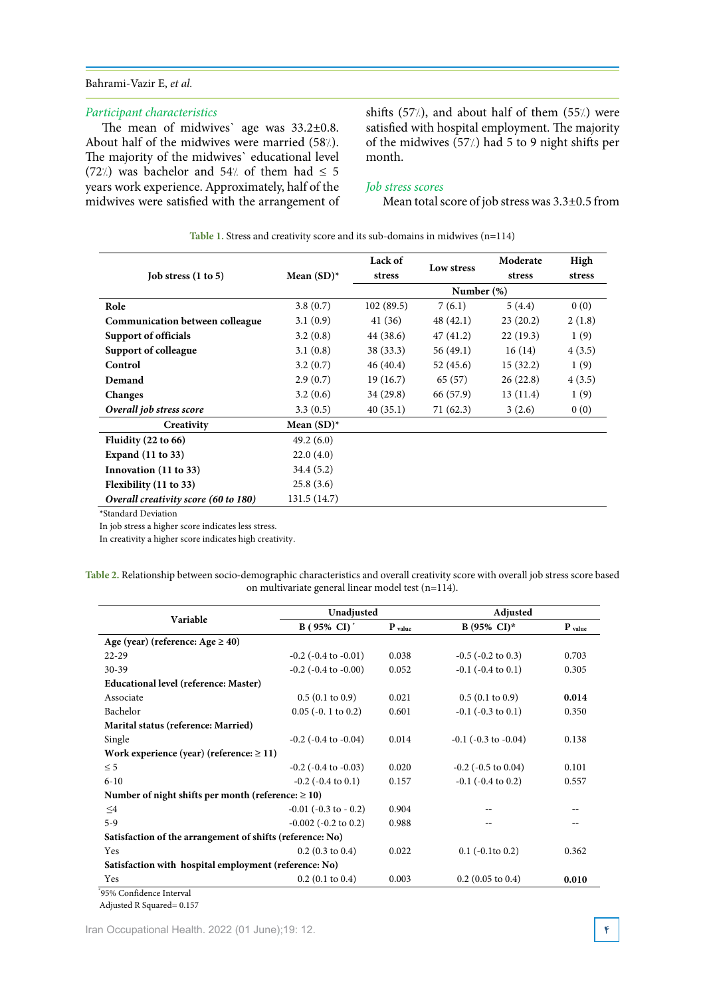## Bahrami-Vazir E, et al.

### *characteristics Participant*

The mean of midwives' age was  $33.2 \pm 0.8$ . About half of the midwives were married  $(58/)$ . The majority of the midwives' educational level (72%) was bachelor and 54% of them had  $\leq$  5 years work experience. Approximately, half of the midwives were satisfied with the arrangement of shifts  $(57/)$ , and about half of them  $(55/)$  were satisfied with hospital employment. The majority of the midwives  $(57/)$  had 5 to 9 night shifts per month.

## *Job stress scores*

Mean total score of job stress was  $3.3\pm0.5$  from

|                                        |               | Lack of   | Low stress    | Moderate | High   |
|----------------------------------------|---------------|-----------|---------------|----------|--------|
| Job stress $(1 to 5)$                  | Mean $(SD)^*$ | stress    |               | stress   | stress |
|                                        |               |           | Number $(\%)$ |          |        |
| Role                                   | 3.8(0.7)      | 102(89.5) | 7(6.1)        | 5(4.4)   | 0(0)   |
| <b>Communication between colleague</b> | 3.1(0.9)      | 41(36)    | 48(42.1)      | 23(20.2) | 2(1.8) |
| Support of officials                   | 3.2(0.8)      | 44 (38.6) | 47(41.2)      | 22(19.3) | 1(9)   |
| Support of colleague                   | 3.1(0.8)      | 38 (33.3) | 56(49.1)      | 16(14)   | 4(3.5) |
| Control                                | 3.2(0.7)      | 46(40.4)  | 52(45.6)      | 15(32.2) | 1(9)   |
| Demand                                 | 2.9(0.7)      | 19(16.7)  | 65 (57)       | 26(22.8) | 4(3.5) |
| Changes                                | 3.2(0.6)      | 34 (29.8) | 66 (57.9)     | 13(11.4) | 1(9)   |
| Overall job stress score               | 3.3(0.5)      | 40(35.1)  | 71(62.3)      | 3(2.6)   | 0(0)   |
| Creativity                             | Mean $(SD)^*$ |           |               |          |        |
| Fluidity $(22 \text{ to } 66)$         | 49.2(6.0)     |           |               |          |        |
| <b>Expand</b> (11 to 33)               | 22.0(4.0)     |           |               |          |        |
| Innovation (11 to 33)                  | 34.4(5.2)     |           |               |          |        |
| Flexibility (11 to 33)                 | 25.8(3.6)     |           |               |          |        |
| Overall creativity score (60 to 180)   | 131.5 (14.7)  |           |               |          |        |

Table 1. Stress and creativity score and its sub-domains in midwives (n=114)

\*Standard Deviation

In job stress a higher score indicates less stress.

In creativity a higher score indicates high creativity.

| Table 2. Relationship between socio-demographic characteristics and overall creativity score with overall job stress score based |
|----------------------------------------------------------------------------------------------------------------------------------|
| on multivariate general linear model test (n=114).                                                                               |

| Variable                                                  | Unadjusted                   |             | Adjusted                     |           |
|-----------------------------------------------------------|------------------------------|-------------|------------------------------|-----------|
|                                                           | $B(95\% \ CI)^*$             | $P_{value}$ | $B(95\% \text{ CI})^*$       | $P$ value |
| Age (year) (reference: $Age \ge 40$ )                     |                              |             |                              |           |
| $22 - 29$                                                 | $-0.2$ ( $-0.4$ to $-0.01$ ) | 0.038       | $-0.5$ ( $-0.2$ to 0.3)      | 0.703     |
| $30 - 39$                                                 | $-0.2$ ( $-0.4$ to $-0.00$ ) | 0.052       | $-0.1$ ( $-0.4$ to $0.1$ )   | 0.305     |
| Educational level (reference: Master)                     |                              |             |                              |           |
| Associate                                                 | $0.5(0.1 \text{ to } 0.9)$   | 0.021       | $0.5(0.1 \text{ to } 0.9)$   | 0.014     |
| Bachelor                                                  | $0.05$ (-0. 1 to 0.2)        | 0.601       | $-0.1$ ( $-0.3$ to $0.1$ )   | 0.350     |
| Marital status (reference: Married)                       |                              |             |                              |           |
| Single                                                    | $-0.2$ ( $-0.4$ to $-0.04$ ) | 0.014       | $-0.1$ ( $-0.3$ to $-0.04$ ) | 0.138     |
| Work experience (year) (reference: $\geq 11$ )            |                              |             |                              |           |
| $\leq$ 5                                                  | $-0.2$ ( $-0.4$ to $-0.03$ ) | 0.020       | $-0.2$ ( $-0.5$ to $0.04$ )  | 0.101     |
| $6 - 10$                                                  | $-0.2$ ( $-0.4$ to $0.1$ )   | 0.157       | $-0.1$ ( $-0.4$ to 0.2)      | 0.557     |
| Number of night shifts per month (reference: $\geq 10$ )  |                              |             |                              |           |
| $\leq$ 4                                                  | $-0.01$ ( $-0.3$ to $-0.2$ ) | 0.904       |                              |           |
| $5-9$                                                     | $-0.002$ ( $-0.2$ to 0.2)    | 0.988       |                              |           |
| Satisfaction of the arrangement of shifts (reference: No) |                              |             |                              |           |
| <b>Yes</b>                                                | $0.2$ (0.3 to 0.4)           | 0.022       | $0.1$ ( $-0.1$ to $0.2$ )    | 0.362     |
| Satisfaction with hospital employment (reference: No)     |                              |             |                              |           |
| Yes                                                       | $0.2$ (0.1 to 0.4)           | 0.003       | $0.2$ (0.05 to 0.4)          | 0.010     |

Adjusted R Squared =  $0.157$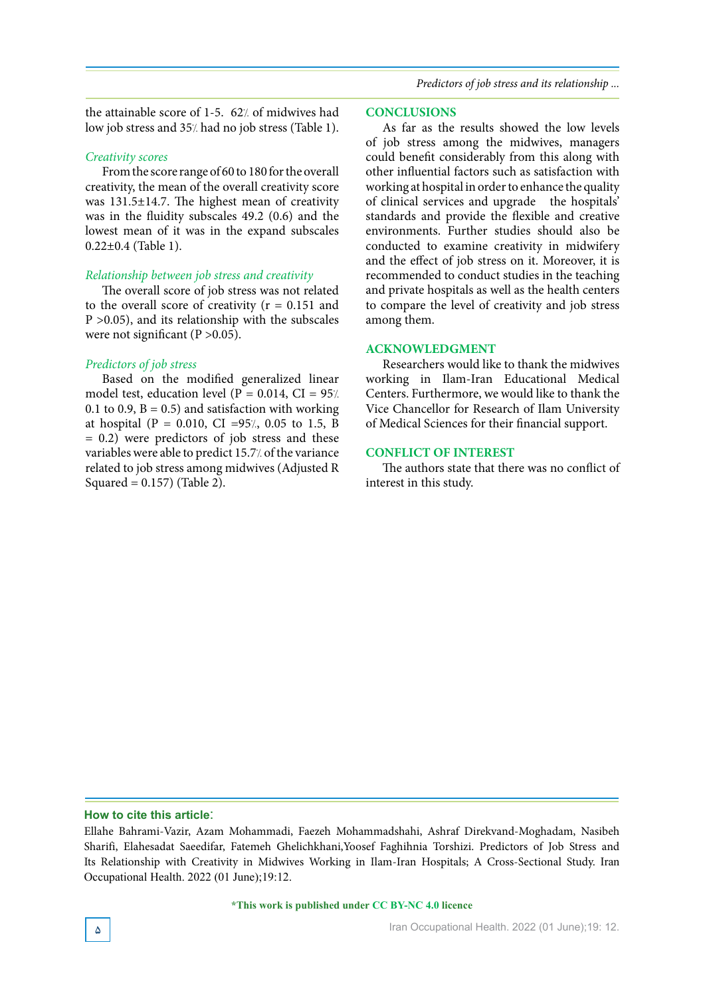*Predictors of job stress and its relationship* ...

the attainable score of 1-5.  $62/$  of midwives had low job stress and 35% had no job stress (Table 1).

### *scores Creativity*

From the score range of 60 to 180 for the overall creativity, the mean of the overall creativity score was  $131.5\pm 14.7$ . The highest mean of creativity was in the fluidity subscales  $49.2$  (0.6) and the lowest mean of it was in the expand subscales  $0.22\pm0.4$  (Table 1).

#### *Relationship between job stress and creativity*

The overall score of job stress was not related to the overall score of creativity ( $r = 0.151$  and  $P > 0.05$ ), and its relationship with the subscales were not significant ( $P > 0.05$ ).

#### *Predictors of job stress*

Based on the modified generalized linear model test, education level ( $P = 0.014$ , CI = 95/. 0.1 to 0.9,  $B = 0.5$ ) and satisfaction with working at hospital (P = 0.010, CI = 95%, 0.05 to 1.5, B  $= 0.2$ ) were predictors of job stress and these variables were able to predict 15.7% of the variance related to job stress among midwives (Adjusted R Squared =  $0.157$ ) (Table 2).

#### **CONCLUSIONS**

As far as the results showed the low levels of job stress among the midwives, managers could benefit considerably from this along with other influential factors such as satisfaction with working at hospital in order to enhance the quality of clinical services and upgrade the hospitals' standards and provide the flexible and creative environments. Further studies should also be conducted to examine creativity in midwifery and the effect of job stress on it. Moreover, it is recommended to conduct studies in the teaching and private hospitals as well as the health centers to compare the level of creativity and job stress among them.

#### **ACKNOWLEDGMENT**

Researchers would like to thank the midwives working in Ilam-Iran Educational Medical Centers. Furthermore, we would like to thank the Vice Chancellor for Research of Ilam University of Medical Sciences for their financial support.

#### **CONFLICT OF INTEREST**

The authors state that there was no conflict of interest in this study.

### How to cite this article:

Ellahe Bahrami-Vazir, Azam Mohammadi, Faezeh Mohammadshahi, Ashraf Direkvand-Moghadam, Nasibeh Sharifi, Elahesadat Saeedifar, Fatemeh Ghelichkhani, Yoosef Faghihnia Torshizi. Predictors of Job Stress and Its Relationship with Creativity in Midwives Working in Ilam-Iran Hospitals; A Cross-Sectional Study. Iran Occupational Health. 2022 (01 June): 19:12.

<sup>\*</sup>This work is published under CC BY-NC 4.0 licence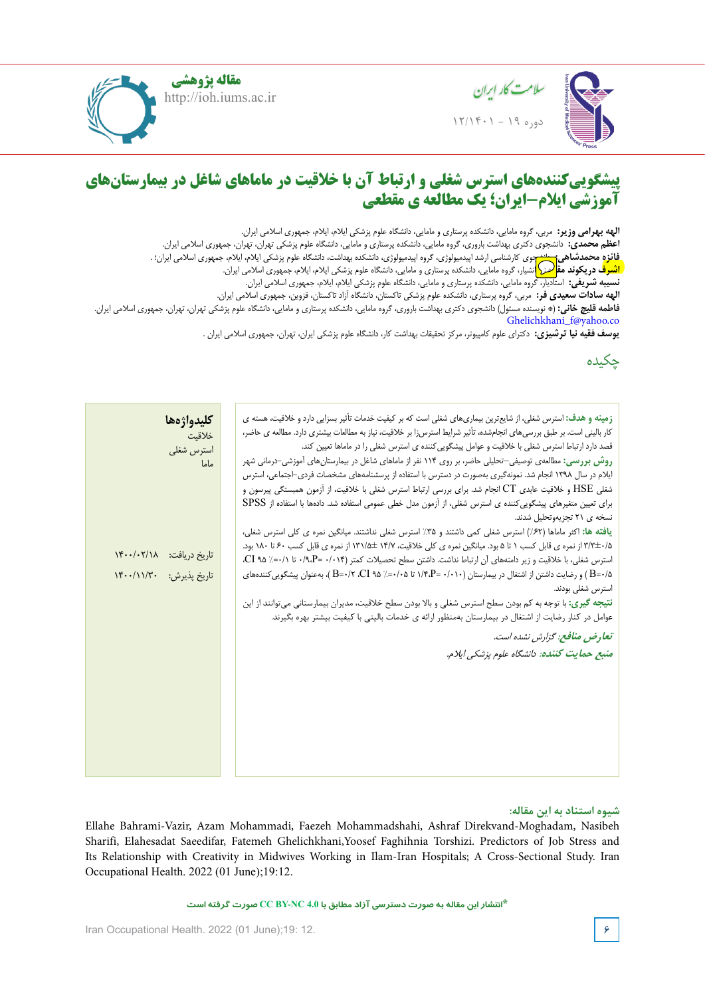

**مقاله پژوهشی** http://ioh.iums.ac.ir



#### $\mathbf{a}$ **f**  $\mathbf{a}$  in assessment to in a set  $\mathbf{a}$ **fatigue visual to relationship and workplaces office the in assessment temperature color and Lighting پیشگوییکنندههای استرس شغلی و ارتباط آن با خالقیت در ماماهای شاغل در بیمارستانهای آموزشی ایالم-ایران؛ یک مطالعه ی مقطعی**

الهه بهرامى و  $\,$  ,Sciences Medical of University Hamadan ,Health of School ,Hygiene Occupational of Department ,MSc **,Pirmoradi Zahra** <mark>. فائزه محمدشاهی<del>: انثر ب</del>وی کارشناسی ارشد اپیدمیولوژی، گروه اپیدمیولوژی، دانشکده بهداشت، دانشگاه علوم پزشکی ایلام، ایلام، جمهوری اسلامی ایران؛ .</mark> ID **الهه بهرامی وزیر:** مربی، گروه مامایی، دانشکده پرستاری و مامایی، دانشگاه علوم پزشکی ایالم، ایالم، جمهوری اسالمی ایران. **اعظم محمدی:** دانشجوی دکتری بهداشت باروری، گروه مامایی، دانشکده پرستاری و مامایی، دانشگاه علوم پزشکی تهران، تهران، جمهوری اسالمی ایران.

ا اشدف د، بکه: **اشت**ان ا<mark>شىرف در یکوند مقا<sup>لر</sup>ے: (</mark>انشیار، گروه مامایی، دانشکده پرستاری و مامایی، دانشگاه علوم پزشکی ایلام، ایلام، جمهوری اسلامی ایران.

 $\frac{1}{2}$ **نسیبه شریفی:** استادیار، گروه مامایی، دانشکده پرستاری و مامایی، دانشگاه علوم پزشکی ایالم، ایالم، جمهوری اسالمی ایران.

 of University Hamadan ,Health of School ,Biostatistics of Department ,Professor Associate ,Professor **,Fardmal Javad الهه سادات سعیدی فر:** مربی، گروه پرستاری، دانشکده علوم پزشکی تاکستان، دانشگاه آزاد تاکستان، قزوین، جمهوری اسالمی ایران.

 $\sum_{i=1}^{\infty} \frac{1}{i}$ **فاطمه قلیچ خانی:** )\* نویسنده مسئول( دانشجوی دکتری بهداشت باروری، گروه مامایی، دانشکده پرستاری و مامایی، دانشگاه علوم پزشکی تهران، تهران، جمهوری اسالمی ایران. Ghelichkhani\_f@yahoo.co

**یوسف فقیه نیا ترشیزی:** دکترای علوم کامپیوتر، مرکز تحقیقات بهداشت کار، دانشگاه علوم پزشکی ایران، تهران، جمهوری اسلامی ایران .<br>.

# چکیده

| كليدواژهها               | <b>زمینه و هدف:</b> استرس شغلی، از شایعترین بیماریهای شغلی است که بر کیفیت خدمات تأثیر بسزایی دارد و خلاقیت، هسته ی                                                                                                   |
|--------------------------|-----------------------------------------------------------------------------------------------------------------------------------------------------------------------------------------------------------------------|
| خلاقيت                   | کار بالینی است. بر طبق بررسیهای انجامشده، تأثیر شرایط استرسiا بر خلاقیت، نیاز به مطالعات بیشتری دارد. مطالعه ی حاضر،                                                                                                  |
| استرس شغلى               | قصد دارد ارتباط استرس شغلی با خلاقیت و عوامل پیشگویی کننده ی استرس شغلی را در ماماها تعیین کند.                                                                                                                       |
| ماما                     | روش بررسی: مطالعهی توصیفی–تحلیلی حاضر، بر روی ۱۱۴ نفر از ماماهای شاغل در بیمارستانهای آموزشی–درمانی شهر                                                                                                               |
|                          | ایلام در سال ۱۳۹۸ انجام شد. نمونهگیری بهصورت در دسترس با استفاده از پرسشنامههای مشخصات فردی–اجتماعی، استرس                                                                                                            |
|                          | شغلی HSE و خلاقیت عابدی CT انجام شد. برای بررسی ارتباط استرس شغلی با خلاقیت، از آزمون همبستگی پیرسون و                                                                                                                |
|                          | برای تعیین متغیرهای پیشگویی کننده ی استرس شغلی، از آزمون مدل خطی عمومی استفاده شد. دادهها با استفاده از SPSS                                                                                                          |
|                          | نسخه ی ۲۱ تجزیهوتحلیل شدند.                                                                                                                                                                                           |
|                          | یافته ها: اکثر ماماها (۶۲٪) استرس شغلی کمی داشتند و ۳۵٪ استرس شغلی نداشتند. میانگین نمره ی کلی استرس شغلی،                                                                                                            |
| تاريخ دريافت: ١۴٠٠/٠٢/١٨ | ۵/ +٣/٣± از نمره ی قابل کسب ١ تا ۵ بود. میانگین نمره ی کلی خلاقیت، ١۴/٧ ±١/١٣١ از نمره ی قابل کسب ۶۰ تا ١٨٠ بود.                                                                                                      |
|                          | استرس شغلی، با خلاقیت و زیر دامنههای آن ارتباط نداشت. داشتن سطح تحصیلات کمتر (۰/ ۰/ ۰/ ۰/۹،P= ۰/۰۱۴). CI ۹۵ /                                                                                                         |
| تاریخ پذیرش: ۱۴۰۰/۱۱/۳۰  | ۵/-B=) و رضایت داشتن از اشتغال در بیمارستان (۱/۰۱۰ =N۴،P) تا ۰/۸×۰=٪ ۵۵ A=۰/۲ ، ۲-۱۲ )، بهعنوان پیشگویی کنندههای                                                                                                      |
|                          | استرس شغلی بودند.                                                                                                                                                                                                     |
|                          | <b>نتیجه گیری: با</b> توجه به کم بودن سطح استرس شغلی و بالا بودن سطح خلاقیت، مدیران بیمارستانی میتوانند از این<br>عوامل در کنار رضایت از اشتغال در بیمارستان بهمنظور ارائه ی خدمات بالینی با کیفیت بیشتر بهره بگیرند. |
|                          |                                                                                                                                                                                                                       |
|                          | تعارض منافع: گزارش نشده است.                                                                                                                                                                                          |
|                          | منبع حمايت كننده: دانشگاه علوم پزشكي ايلام.                                                                                                                                                                           |
|                          |                                                                                                                                                                                                                       |
|                          |                                                                                                                                                                                                                       |
|                          |                                                                                                                                                                                                                       |
|                          |                                                                                                                                                                                                                       |
|                          |                                                                                                                                                                                                                       |
|                          |                                                                                                                                                                                                                       |
|                          |                                                                                                                                                                                                                       |
|                          |                                                                                                                                                                                                                       |

#### of presence the with measured and observed accurately were distances and angles **شیوه استناد به این مقاله:**

 $\frac{1}{\sqrt{2}}$ Ellahe Bahrami-Vazir, Azam Mohammadi, Faezeh Mohammadshahi, Ashraf Direkvand-Moghadam, Nasibeh Sharifi, Elahesadat Saeedifar, Fatemeh Ghelichkhani,Yoosef Faghihnia Torshizi. Predictors of Job Stress and Its Relationship with Creativity in Midwives Working in Ilam-Iran Hospitals; A Cross-Sectional Study. Iran Occupational Health. 2022 (01 June);19:12.

**\*انتشار این مقاله به صورت دسترسی آزاد مطابق با 4.0 NC-BY CC صورت گرفته است**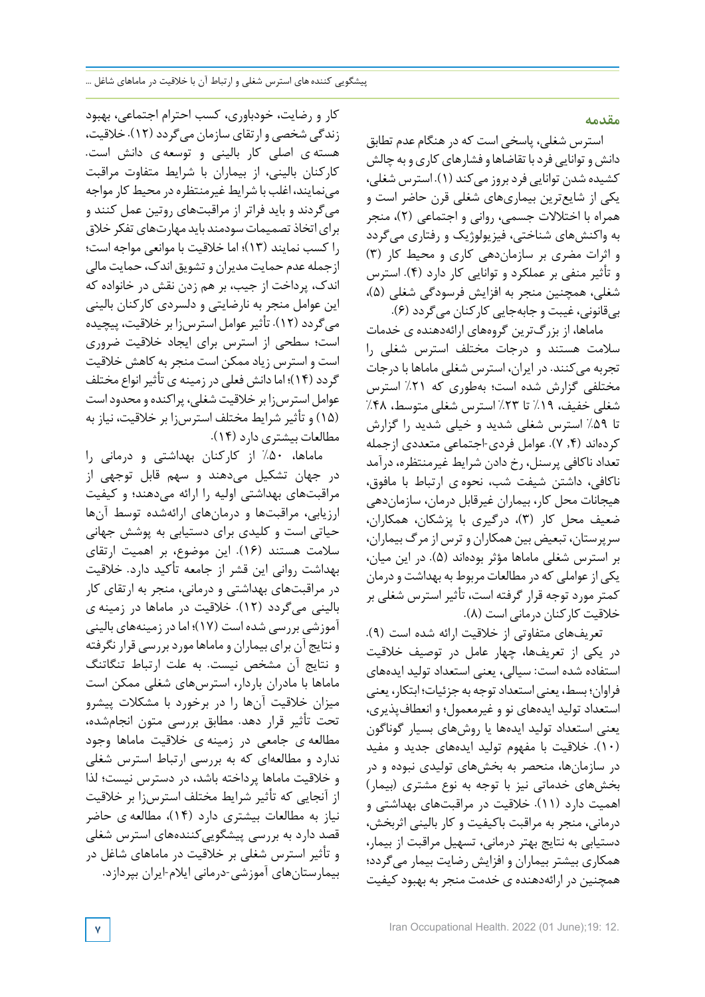**مقدمه**

استرس شغلی، پاسخی است که درهنگام عدم تطابق دانش و توانایی فرد با تقاضاها و فشارهای کاری و به چالش کشیده شدن توانایی فردبروز میکند (1). استرس شغلی، یکی از شایعترین بیماریهای شغلی قرن حاضر است و همراه با اختالالت جسمی، روانی و اجتماعی (2)، منجر به واکنشهای شناختی، فیزیولوژیک و رفتاری میگردد و اثرات مضری بر سازماندهی کاری و محیط کار (3) و تأثیر منفی بر عملکرد و توانایی کار دارد (4). استرس شغلی، همچنین منجر به افزایش فرسودگی شغلی (5)، بیقانونی، غیبت و جابهجایی کارکنان میگردد (6).

ماماها، از بزرگترین گروههای ارائهدهنده ی خدمات سالمت هستند و درجات مختلف استرس شغلی را تجربه میکنند. در ایران، استرس شغلی ماماها با درجات مختلفی گزارش شده است؛ بهطوری که %21 استرس شغلی خفیف، %19 تا %23 استرس شغلی متوسط، %48 تا %59 استرس شغلی شدید و خیلی شدید را گزارش کردهاند (,4 7). عوامل فردی-اجتماعی متعددی ازجمله تعداد ناکافی پرسنل، رخ دادن شرایط غیرمنتظره، درآمد ناکافی، داشتن شیفت شب، نحوه ی ارتباط با مافوق، هیجانات محل کار، بیماران غیرقابل درمان، سازماندهی ضعیف محل کار (3)، درگیری با پزشکان، همکاران، سرپرستان، تبعیض بین همکاران و ترس از مرگ بیماران، بر استرس شغلی ماماها مؤثر بودهاند (5). در این میان، یکی ازعواملی که در مطالعات مربوط به بهداشت ودرمان کمتر مورد توجه قرار گرفته است، تأثیر استرس شغلی بر خالقیت کارکنان درمانی است (8).

تعریفهای متفاوتی از خالقیت ارائه شده است (9). در یکی از تعریفها، چهار عامل در توصیف خالقیت استفاده شده است: سیالی، یعنی استعداد تولید ایدههای فراوان؛ بسط، یعنی استعداد توجه به جزئیات؛ ابتکار، یعنی استعداد تولید ایدههای نو و غیرمعمول؛ و انعطافپذیری، یعنی استعداد تولید ایدهها یا روشهای بسیار گوناگون (10). خالقیت با مفهوم تولید ایدههای جدید و مفید در سازمانها، منحصر به بخشهای تولیدی نبوده و در بخشهای خدماتی نیز با توجه به نوع مشتری (بیمار) اهمیت دارد (11). خالقیت در مراقبتهای بهداشتی و درمانی، منجر به مراقبت باکیفیت و کار بالینی اثربخش، دستیابی به نتایج بهتر درمانی، تسهیل مراقبت از بیمار، همکاری بیشتر بیماران و افزایش رضایت بیمار میگردد؛ همچنین در ارائهدهنده ی خدمت منجر به بهبود کیفیت

کار و رضایت، خودباوری، کسب احترام اجتماعی، بهبود زندگی شخصی و ارتقای سازمان میگردد (12). خالقیت، هسته ی اصلی کار بالینی و توسعه ی دانش است. کارکنان بالینی، از بیماران با شرایط متفاوت مراقبت می نمایند، اغلب با شرایط غیرمنتظره در محیط کار مواجه میگردند و باید فراتر از مراقبتهای روتین عمل کنند و برای اتخاذ تصمیمات سودمند باید مهار تهای تفکر خلاق را کسب نمایند (13)؛ اما خالقیت با موانعی مواجه است؛ ازجمله عدم حمایت مدیران و تشویق اندك، حمایت مالی اندك، پرداخت از جیب، بر هم زدن نقش در خانواده که این عوامل منجر به نارضایتی و دلسردی کارکنان بالینی میگردد (12). تأثیرعوامل استرسزا بر خالقیت، پیچیده است؛ سطحی از استرس برای ایجاد خالقیت ضروری است و استرس زیاد ممکن است منجر به کاهش خالقیت گردد (۱۴)؛ اما دانش فعلی در زمینه ی تأثیر انواع مختلف عوامل استرس;ا بر خلاقیت شغلی، پراکنده و محدود است (15) و تأثیر شرایط مختلف استرسزا بر خالقیت، نیاز به مطالعات بیشتری دارد (14).

ماماها، %50 از کارکنان بهداشتی و درمانی را در جهان تشکیل میدهند و سهم قابل توجهی از مراقبتهای بهداشتی اولیه را ارائه میدهند؛ و کیفیت ارزیابی، مراقبتها و درمانهای ارائهشده توسط آنها حیاتی است و کلیدی برای دستیابی به پوشش جهانی سالمت هستند (16). این موضوع، بر اهمیت ارتقای بهداشت روانی این قشر از جامعه تأکید دارد. خالقیت در مراقبتهای بهداشتی و درمانی، منجر به ارتقای کار بالینی میگردد (12). خالقیت در ماماها در زمینه ی آموزشی بررسی شده است (17)؛ امادر زمینههای بالینی و نتایج آن برای بیماران و ماماها موردبررسی قرار نگرفته و نتایج آن مشخص نیست. به علت ارتباط تنگاتنگ ماماها با مادران باردار، استرسهای شغلی ممکن است میزان خالقیت آنها را در برخورد با مشکالت پیشرو تحت تأثیر قرار دهد. مطابق بررسی متون انجامشده، مطالعه ی جامعی در زمینه ی خالقیت ماماها وجود ندارد و مطالعهای که به بررسی ارتباط استرس شغلی و خالقیت ماماها پرداخته باشد، در دسترس نیست؛ لذا از آنجایی که تأثیر شرایط مختلف استرسزا بر خالقیت نیاز به مطالعات بیشتری دارد (14)، مطالعه ی حاضر قصد دارد به بررسی پیشگویی کنندههای استرس شغلی و تأثیر استرس شغلی بر خالقیت در ماماهای شاغل در بیمارستانهای آموزشی-درمانی ایالم-ایران بپردازد.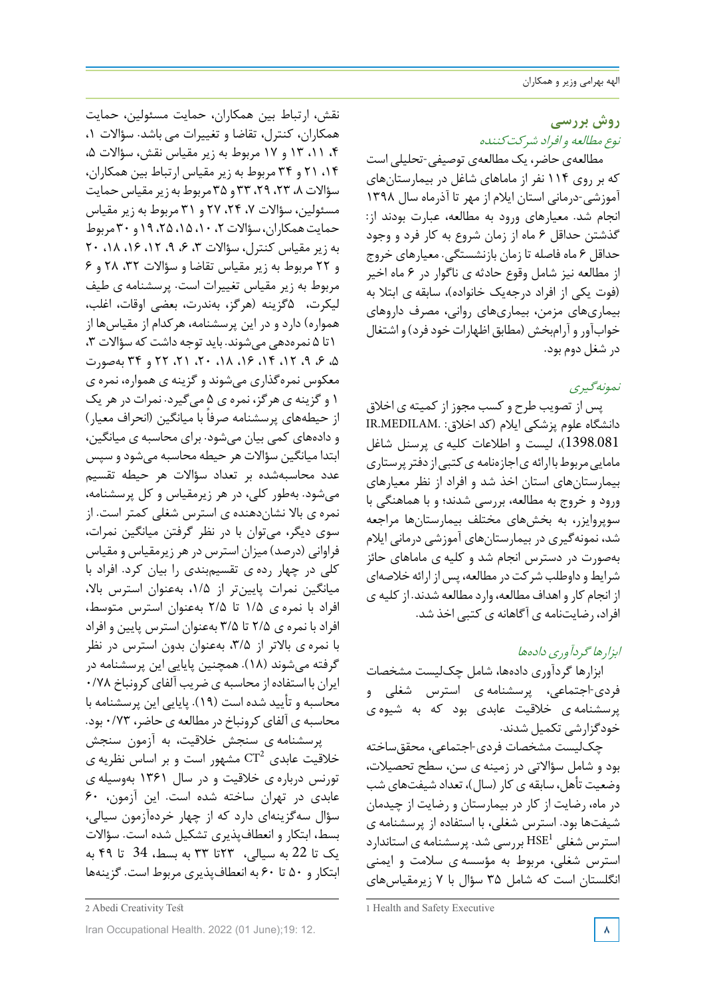# **روش بررسی** نوع مطالعه <sup>و</sup> افراد شرکتکننده

مطالعهی حاضر، یک مطالعهی توصیفی-تحلیلی است که بر روی 114 نفر از ماماهای شاغل در بیمارستانهای آموزشی-درمانی استان ایالم از مهر تا آذرماه سال 1398 انجام شد. معیارهای ورود به مطالعه، عبارت بودند از: گذشتن حداقل 6 ماه از زمان شروع به کار فرد و وجود حداقل 6 ماه فاصله تا زمان بازنشستگی. معیارهای خروج از مطالعه نیز شامل وقوع حادثه ی ناگوار در 6 ماه اخیر (فوت یکی از افراد درجهیک خانواده)، سابقه ی ابتال به بیماریهای مزمن، بیماریهای روانی، مصرف داروهای خوابآور و آرامبخش (مطابق اظهاراتخودفرد) و اشتغال در شغل دوم بود.

# نمونهگیری

پس از تصویب طرح و کسب مجوز از کمیته ی اخالق دانشگاه علوم پزشکی ایالم (کد اخالق: .MEDILAM.IR 1398.081)، لیست و اطالعات کلیه ی پرسنل شاغل مامایی مربوط باارائه ی اجازهنامه ی کتبی از دفتر پرستاری بیمارستانهای استان اخذ شد و افراد از نظر معیارهای ورود و خروج به مطالعه، بررسی شدند؛ و با هماهنگی با سوپروایزر، به بخشهای مختلف بیمارستانها مراجعه شد، نمونهگیری در بیمارستانهای آموزشی درمانی ایالم بهصورت در دسترس انجام شد و کلیه ی ماماهای حائز شرایطوداوطلب شرکت درمطالعه، پسازارائه خالصهای از انجام کار و اهداف مطالعه، وارد مطالعه شدند. از کلیه ی افراد، رضایتنامه ی آگاهانه ی کتبی اخذ شد.

# ابزارهاگردآوری دادهها

ابزارها گردآوری دادهها، شامل چکلیست مشخصات فردی-اجتماعی، پرسشنامه ی استرس شغلی و پرسشنامه ی خالقیت عابدی بود که به شیوه ی خودگزارشی تکمیل شدند.

چکلیست مشخصات فردی-اجتماعی، محققساخته بود و شامل سؤاالتی در زمینه ی سن، سطح تحصیالت، وضعیت تأهل، سابقه یکار (سال)، تعداد شیفتهایشب در ماه، رضایت از کار در بیمارستان و رضایت از چیدمان شیفتها بود. استرس شغلی، با استفاده از پرسشنامه ی استرس شغلی  $\mathrm{HSE}^1$  بررسی شد. پرسشنامه ی استاندارد استرس شغلی، مربوط به مؤسسه ی سالمت و ایمنی انگلستان است که شامل 35 سؤال با 7 زیرمقیاسهای

نقش، ارتباط بین همکاران، حمایت مسئولین، حمایت همکاران، کنترل، تقاضا و تغییرات می باشد. سؤاالت ،1 ،4 ،11 13 و 17 مربوط به زیر مقیاس نقش، سؤاالت ،5 ،14 21 و 34 مربوط به زیر مقیاس ارتباط بین همکاران، سؤالات ۸، ۲۳، ۲۹، ۳۳ و ۳۵ مربوط به زیر مقیاس حمایت مسئولین، سؤاالت ،7 ،24 27 و 31 مربوط به زیر مقیاس حمایتهمکاران،سؤاالت،2 ،10 ،15 ،25 19 و 30 مربوط به زیر مقیاس کنترل، سؤالات ، ۶، ۹، ۱۲، ۱۶، ۱۸، ۲۰ و 22 مربوط به زیر مقیاس تقاضا و سؤاالت ،32 28 و 6 مربوط به زیر مقیاس تغییرات است. پرسشنامه ی طیف لیکرت، 5گزینه (هرگز، بهندرت، بعضی اوقات، اغلب، همواره) دارد و در این پرسشنامه، هرکدام از مقیاسها از 1تا 5 نمرهدهی میشوند. باید توجه داشت که سؤاالت ،3 ،5 ،6 ،9 ،12 ،14 ،16 ،18 ،20 ،21 22 و 34 بهصورت معکوس نمرهگذاری میشوند و گزینه ی همواره، نمره ی 1 و گزینه ی هرگز، نمره ی 5 میگیرد. نمرات درهر یک از حیطههای پرسشنامه صرفاً با میانگین (انحراف معیار) و دادههای کمی بیان میشود. برای محاسبه ی میانگین، ابتدا میانگین سؤاالت هر حیطه محاسبه میشودو سپس عدد محاسبهشده بر تعداد سؤاالت هر حیطه تقسیم میشود. بهطور کلی، در هر زیرمقیاس و کل پرسشنامه، نمره ی باال نشاندهنده ی استرس شغلی کمتر است. از سوی دیگر، میتوان با در نظر گرفتن میانگین نمرات، فراوانی (درصد) میزان استرس درهرزیرمقیاس و مقیاس کلی در چهار رده ی تقسیمبندی را بیان کرد. افراد با میانگین نمرات پایینتر از ،1/5 بهعنوان استرس باال، افراد با نمره ی 1/5 تا 2/5 بهعنوان استرس متوسط، افراد با نمره ی 2/5 تا 3/5 بهعنوان استرس پایین و افراد با نمره ی باالتر از ،3/5 بهعنوان بدون استرس در نظر گرفته میشوند (18). همچنین پایایی این پرسشنامه در ایران با استفاده از محاسبه ی ضریب آلفای کرونباخ 0/78 محاسبه و تأیید شده است (19). پایایی این پرسشنامه با محاسبه ی آلفای کرونباخ در مطالعه ی حاضر، 0/73 بود.

پرسشنامه ی سنجش خالقیت، به آزمون سنجش خلاقیت عابدی  $\overline{CT}^2$  مشهور است و بر اساس نظریه ی تورنس درباره ی خالقیت و در سال 1361 بهوسیله ی عابدی در تهران ساخته شده است. این آزمون، 60 سؤال سهگزینهای دارد که از چهار خردهآزمون سیالی، بسط، ابتکار و انعطافپذیری تشکیل شده است. سؤاالت یک تا 22 به سیالی، 23تا 33 به بسط، 34 تا 49 به ابتکار و 50 تا 60 به انعطافپذیری مربوط است. گزینهها

<sup>1</sup> Health and Safety Executive

<sup>2</sup> Abedi Creativity Test

**Iran Occupational Health. 2022 (01 June):19: 12.**  $\lambda$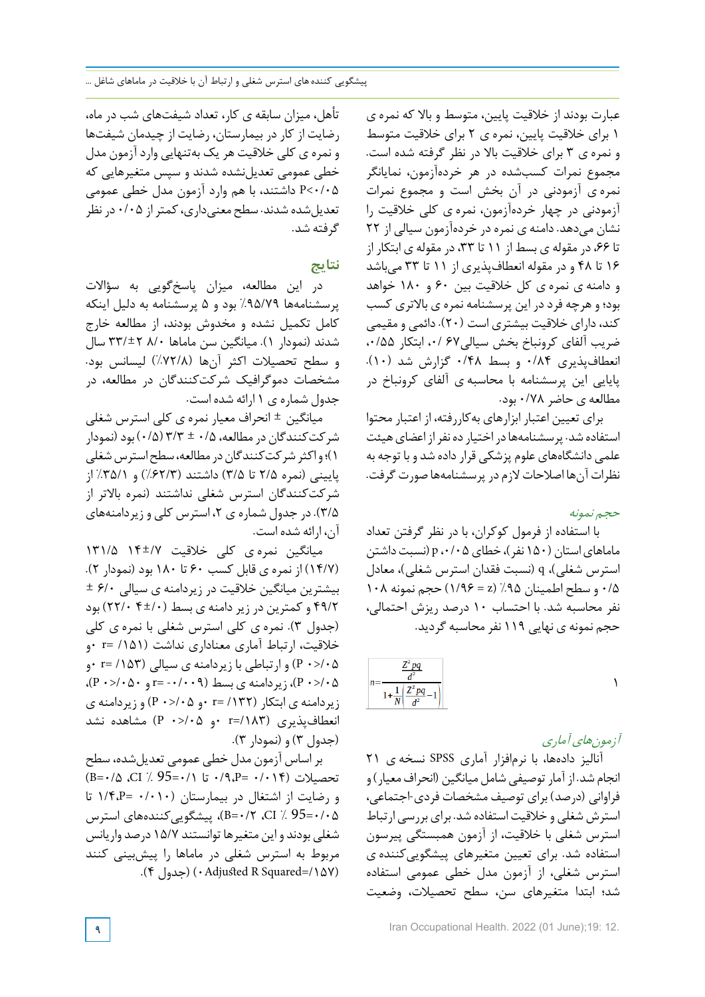عبارت بودند از خالقیت پایین، متوسط و باال که نمره ی 1 برای خالقیت پایین، نمره ی 2 برای خالقیت متوسط و نمره ی 3 برای خالقیت باال در نظر گرفته شده است. مجموع نمرات کسبشده در هر خردهآزمون، نمایانگر نمره ی آزمودنی در آن بخش است و مجموع نمرات آزمودنی در چهار خردهآزمون، نمره ی کلی خالقیت را نشان میدهد. دامنه ی نمره در خردهآزمون سیالی از 22 تا ۶۶، در مقوله ی بسط از ۱۱ تا ۳۳، در مقوله ی ابتکار از 16 تا 48 و در مقوله انعطافپذیری از 11 تا 33 میباشد و دامنه ی نمره ی کل خالقیت بین 60 و 180 خواهد بود؛ وهرچه فرد در این پرسشنامه نمره ی باالتری کسب کند، دارای خالقیت بیشتری است (20). دائمی و مقیمی ضریب آلفای کرونباخ بخش سیالی47 /0، ابتکار ۰/۵۵، انعطافپذیری 0/84 و بسط 0/48 گزارش شد (10). پایایی این پرسشنامه با محاسبه ی آلفای کرونباخ در مطالعه ی حاضر 0/78 بود.

برای تعیین اعتبار ابزارهای بهکاررفته، از اعتبار محتوا استفاده شد. پرسشنامهها در اختیار ده نفر از اعضای هیئت علمی دانشگاههای علوم پزشکی قرار داده شد و با توجه به نظراتآنها اصالحاتالزم در پرسشنامهها صورتگرفت.

# حجم نمونه

با استفاده از فرمول کوکران، با در نظر گرفتن تعداد ماماهای استان (۱۵۰ نفر)، خطای p ،۰/۰۵ (نسبت داشتن استرس شغلی)، q) نسبت فقدان استرس شغلی)، معادل 0/5 و سطح اطمینان %95 (z = 1/96 (حجم نمونه 108 نفر محاسبه شد. با احتساب 10 درصد ریزش احتمالی، حجم نمونه ی نهایی 119 نفرمحاسبه گردید.

| $n -$ |  |  |
|-------|--|--|
| "     |  |  |

# آزمونهای آماری

آنالیز دادهها، با نرمافزار آماری SPSS نسخه ی 21 انجام شد. از آمار توصیفی شامل میانگین (انحراف معیار) و فراوانی (درصد) برای توصیف مشخصات فردی-اجتماعی، استرش شغلی و خالقیت استفاده شد. برایبررسی ارتباط استرس شغلی با خالقیت، از آزمون همبستگی پیرسون استفاده شد. برای تعیین متغیرهای پیشگوییکننده ی استرس شغلی، از آزمون مدل خطی عمومی استفاده شد؛ ابتدا متغیرهای سن، سطح تحصیالت، وضعیت

تأهل، میزان سابقه ی کار، تعداد شیفتهای شب در ماه، رضایت از کار در بیمارستان، رضایت از چیدمان شیفتها و نمره ی کلی خالقیت هر یک بهتنهایی واردآزمون مدل خطی عمومی تعدیلنشده شدند و سپس متغیرهایی که 0/05>P داشتند، با هم وارد آزمون مدل خطی عمومی تعدیلشده شدند. سطح معنیداری،کمتراز 0/05 درنظر گرفته شد.

# **نتایج**

در این مطالعه، میزان پاسخگویی به سؤاالت پرسشنامهها %95/79 بود و 5 پرسشنامه به دلیل اینکه کامل تکمیل نشده و مخدوش بودند، از مطالعه خارج شدند (نمودار 1). میانگین سن ماماها 8/0 33/±2 سال و سطح تحصیالت اکثر آنها (%72/8) لیسانس بود. مشخصات دموگرافیک شرکتکنندگان در مطالعه، در جدول شماره ی 1 ارائه شده است.

میانگین ± انحراف معیار نمره ی کلی استرس شغلی شرکتکنندگان درمطالعه، 0/5 ± 3/3 (0/5) بود (نمودار 1)؛ واکثر شرکتکنندگان در مطالعه، سطح استرس شغلی پایینی (نمره 2/5 تا 3/5) داشتند (%62/3) و %35/1 از شرکتکنندگان استرس شغلی نداشتند (نمره باالتر از 3/5). در جدول شماره ی ،2 استرس کلی و زیردامنههای آن، ارائه شده است.

میانگین نمره ی کلی خالقیت 14±/7 131/5 (14/7) از نمره ی قابل کسب 60 تا 180 بود (نمودار 2).  $\pm$  ۶/۰ بیشترین میانگین خلاقیت در زیردامنه ی سیالی  $\cdot$ ۶/۰ 49/2 و کمترین در زیر دامنه ی بسط (4±/0 22/0) بود (جدول 3). نمره ی کلی استرس شغلی با نمره ی کلی خالقیت، ارتباط آماری معناداری نداشت (/151 =r 0و /05<0 P (و ارتباطی با زیردامنه ی سیالی (/153 =r 0و  $(P \cdot > \rightarrow \wedge \bullet)$ ، زیردامنه ی بسط (۲۰۰۸ + =r و  $(P \cdot > \rightarrow \bullet)$ ، زیردامنه ی ابتکار (/132 =r 0و /05<0 P (و زیردامنه ی انعطافپذیری (/183=r 0و /05<0 P (مشاهده نشد (جدول 3) و (نمودار 3).

براساس آزمون مدل خطی عمومی تعدیلشده، سطح تحصیالت (0/014 =P0/9، تا 0/1=95 % CI، 0/5=B ( و رضایت از اشتغال در بیمارستان (0/010 =P1/4، تا 0/05=95 % CI، 0/2=B(، پیشگوییکنندههای استرس شغلی بودند و این متغیرها توانستند 15/7 درصد واریانس مربوط به استرس شغلی در ماماها را پیشبینی کنند (/157=Squared R edAdju0) (جدول 4).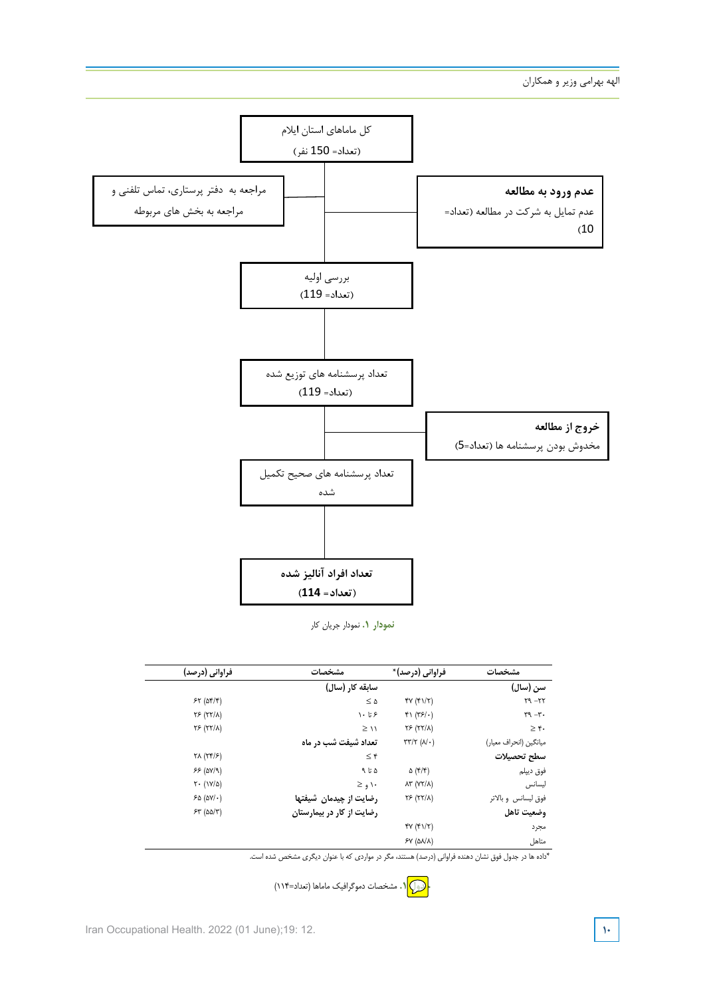

**نمودار .1** نمودار جریان کار

| فراوانی (درصد)                                | مشخصات                    | فراوانی (درصد)*                            | مشخصات                 |
|-----------------------------------------------|---------------------------|--------------------------------------------|------------------------|
|                                               | سابقه کار (سال)           |                                            | سن (سال)               |
| 55(05)                                        | $\leq \Delta$             | fY(fY Y)                                   | $14 - 77$              |
| YF(Y X)                                       | ۶ تا ۱۰                   | $f \mid (r_{5}/\cdot)$                     | $r^q - r$ .            |
| YF(Y X)                                       | $\geq$ 11                 | YF(Y X)                                    | $\geq r$ .             |
|                                               | تعداد شیفت شب در ماه      | $\tau\tau/\tau$ ( $\lambda/\cdot$ )        | ميانگين (انحراف معيار) |
| $\forall \lambda (\Upsilon \Psi/\varepsilon)$ | $\leq$ ۴                  |                                            | سطح تحصيلات            |
| 55 (0V/9)                                     | ۵ تا ۹                    | $\Delta$ (۴/۴)                             | فوق ديپلم              |
| $Y \cdot (1Y/\Delta)$                         | ۱۰ و ≤                    | $\lambda \Upsilon$ (Y $\Upsilon/\lambda$ ) | ليسانس                 |
| 50 (0V)                                       | رضایت از چیدمان شیفتها    | YF(YY A)                                   | فوق ليسانس و بالاتر    |
| $54 (00/\tau)$                                | رضایت از کار در بیمارستان |                                            | وضعيت تاهل             |
|                                               |                           | f(Y(f)/T)                                  | مجرد                   |
|                                               |                           | SY (AN/A)                                  | متاهل                  |

\*داده ها در جدول فوق نشان دهنده فراواني (درصد) هستند، مگر در مواردي كه با عنوان ديگري مشخص شده است.

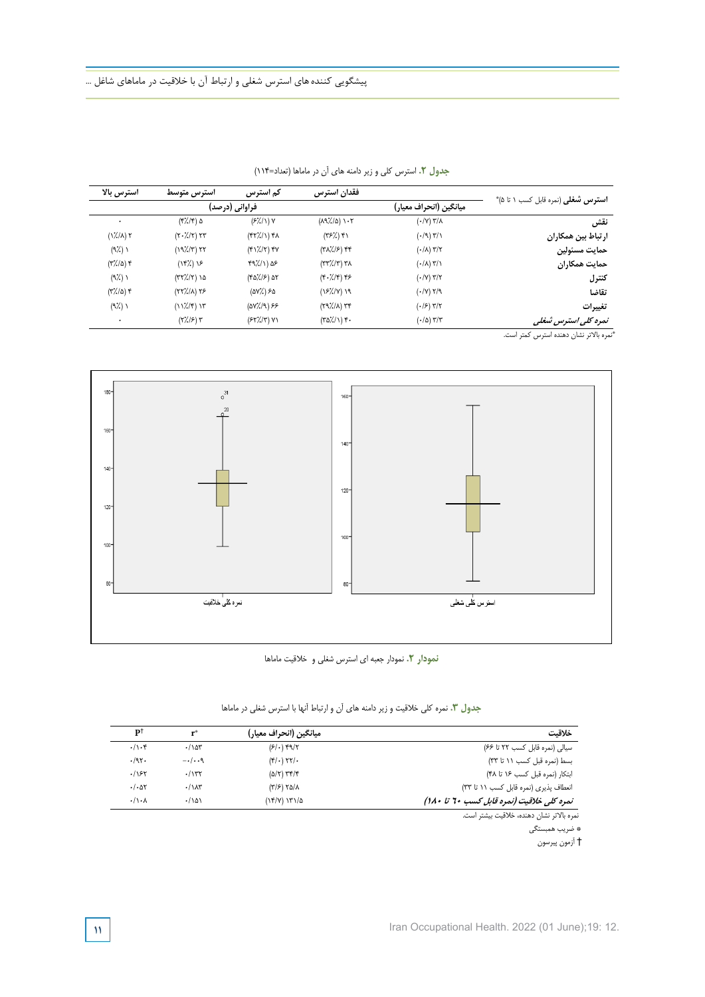|                                           |                                          | فقدان استرس                                       | کم استرس                       | استرس متوسط                         | استرس بالا                           |
|-------------------------------------------|------------------------------------------|---------------------------------------------------|--------------------------------|-------------------------------------|--------------------------------------|
| <b>استرس شغلی</b> (نمره قابل کسب ۱ تا ۵)* | ميانگين (انحراف معيار)                   |                                                   |                                |                                     |                                      |
| نقش                                       | $( \cdot / V )$ $\frac{1}{\sqrt{2}}$     | $(\lambda 9\lambda/\Delta)$ ) $\cdot 7$           | $(F/\!/\!\!/ ) V$              | $(\frac{1}{2})(\frac{1}{2})$ ۵      | $\bullet$                            |
| ارتباط بين همكاران                        | $(·/9)$ $\frac{4}{1}$                    | $(Y^{\varphi}$ / $)$ $Y$                          | $(\frac{4\pi}{3})\rightarrow$  | $(Y \cdot \frac{1}{2} / \tau)$ $YY$ | $(\frac{1}{2} / \Lambda)$ $\Upsilon$ |
| حمايت مسئولين                             | $(\cdot/\lambda)$ ۳/۲                    | $(Y\lambda/\mathscr{G})$ ff                       | $(Y\ Y/\gamma)$ $Y\ Y$         | (19)/(T) 57                         | $(9\%)$                              |
| حمايت همكاران                             | $(\cdot/\lambda)$ ۳/۱                    | $(\Upsilon \Upsilon / \Upsilon) \Upsilon \Lambda$ | $f9\frac{1}{2}$ (1) $\Delta$ ۶ | (18%) 15                            | $(Y'/\Delta)$ $Y$                    |
| كنترل                                     | $(\cdot/\gamma)$ ۳/۲                     | $(F \cdot \frac{7}{5} / F)$ ۴۶                    | $(8\Delta)/5$ ) ar             | $(77)/(7)$ 10                       | $(9\%)$                              |
| تقاضا                                     | $(\cdot / V)$ $Y / 9$                    | $(151/7)$ 19                                      | $(\Delta V)'_{\sigma}$ ) ۶۵    | $(YY/\lambda) YS$                   | $(\Gamma)/\Delta$                    |
| تغييرات                                   | $(\cdot/\mathcal{F})$ ۳/۲                | $(Y9/(A))$ re                                     | $(0V)/(9)$ ۶۶                  | $(11/(f))$ 15                       | $(9\%)$                              |
| نمرہ کلی استرس ثبغلی                      | $(\cdot/\Delta)$ $\mathbf{Y}/\mathbf{Y}$ | $(\frac{1}{2})^2/(1)$ .                           | $(FY/\n'/Y)$ Y)                | $(Y'/S)$ $Y$                        | ٠                                    |

**جدول :2 استرس كلي و زير دامنههاي آن در ماماها (تعداد=114) جدول .2** استرس کلی و زیر دامنه های آن در ماماها )تعداد=114(

نمره بالاتر نشان دهنده استرس كمتر است. \*



**نمودار .2** نمودار جعبه ای استرس شغلی و خالقیت ماماها

جدول ۰٫۳ نمره کلی خلاقیت و زیر دامنه های آن و ارتباط آنها با استرس شغلی در ماماها

| خلاقت                                              | ً ميانگين (انحراف معيار)           | $\mathbf{r}^*$        | p1               |
|----------------------------------------------------|------------------------------------|-----------------------|------------------|
| سیالی (نمرہ قابل کسب ۲۲ تا ۶۶)                     | $(51)$ $99/7$                      | .107                  | $\cdot/\cdot$ ۴  |
| بسط (نمرہ قبل کسب ۱۱ تا ۳۳)                        | $(f/\cdot)$ $\gamma\gamma/\cdot$   | $-\cdot/\cdot\cdot$ ۹ | .197.            |
| ابتكار (نمره قبل كسب ١۶ تا ۴۸)                     | $(\Delta/\tau)$ $\tau$ $\tau/\tau$ | .777                  | .195             |
| انعطاف پذیری (نمره قابل کسب ۱۱ تا ۳۳)              | $(\frac{1}{2}) \times \frac{1}{2}$ | $\cdot/\lambda r$     | $. / . \Delta t$ |
| نمره کلی خلاقیت (نمره قابل کسب ۲۰ تا ۱۸۰)          | ۱۳۱/۵ (۱۴/۷                        | .1101                 | $\cdot/\cdot$    |
| the collection of AMA concerns about the theory of |                                    |                       |                  |

نمره بالا \* ضريب همبستگي † آزمون پيرسون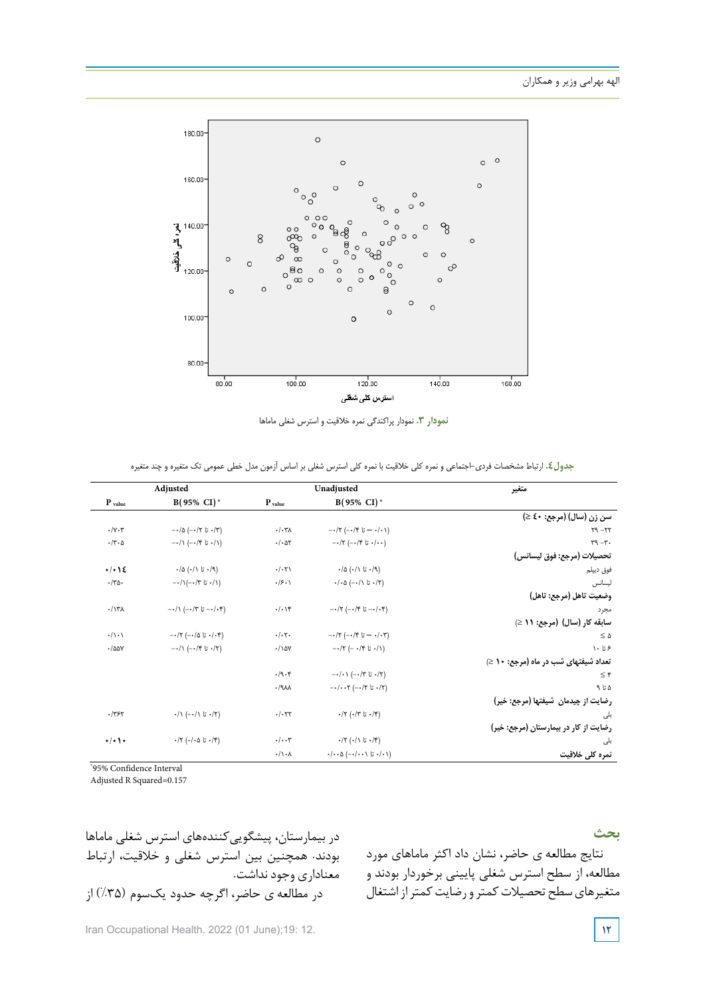

**نمودار .3** نمودار پراکندگی نمره خالقیت و استرس شغلی ماماها

| جدول£. ارتباط مشخصات فردي-اجتماعي و نمره كلي خلاقيت با نمره كلي استرس شغلي بر اساس أزمون مدل خطي عمومي تك متغيره و چند متغيره |  |  |  |  |  |  |  |
|-------------------------------------------------------------------------------------------------------------------------------|--|--|--|--|--|--|--|
|-------------------------------------------------------------------------------------------------------------------------------|--|--|--|--|--|--|--|

| متغير                                 | Unadjusted                                                                     |                              | Adjusted                                                  |                           |
|---------------------------------------|--------------------------------------------------------------------------------|------------------------------|-----------------------------------------------------------|---------------------------|
|                                       | $B(95\% \ CI)^*$                                                               | $P_{value}$                  | $B(95\% \ CI)^*$                                          | $P$ value                 |
| سن زن (سال) (مرجع: ٤٠ ≤)              |                                                                                |                              |                                                           |                           |
| $Y9 - YY$                             | $-\cdot$ ۱۲ (-۰/۴ تا ۲۰۱۴)                                                     | . / .7                       | $-\cdot/\Delta$ (- $\cdot/\Upsilon$ تا $\cdot/\Upsilon$ ) | $\cdot/\gamma \cdot \tau$ |
| $\tau - \tau$                         | $-17$ (-۰/۴ تا ۲۰/۴) --)                                                       | $-(\cdot \Delta \mathbf{r})$ | $-\cdot/\right.$ (-۰/۴ تا ۲۰/۱)                           | $\cdot$ /٣ $\cdot$ ۵      |
| تحصيلات (مرجع: فوق ليسانس)            |                                                                                |                              |                                                           |                           |
| فوق ديپلم                             | $\cdot/\Delta$ (۰/۱ تا ۱۰/۹)                                                   | $-(\cdot 7)$                 | $\cdot/\Delta$ (۰/۱ تا ۱/۰)                               | $+$ $+$ $+$ $+$           |
| ليسانس                                | $\cdot/\cdot$ ۵ (- $\cdot/\right)$ تا ۱/۲)                                     | $\cdot$ /۶ $\cdot$           | $-\cdot/\right.$ زا $\cdot$ تا ۱۳ $\cdot$ /۱)             | $\cdot$ /٣۵.              |
| وضعيت تاهل (مرجع: تاهل)               |                                                                                |                              |                                                           |                           |
| مجرد                                  | $-\cdot/\tau$ (-۰/۴ تا ۲۰–) $\tau$                                             | $\cdot/\cdot$ \۴             | $-\cdot/\right.$ تا ۱۳ $(-\cdot/5 - \cdot/5)$             | .117A                     |
| سابقه کار (سال) (مرجع: ۱۱ ≤)          |                                                                                |                              |                                                           |                           |
| $\leq \Delta$                         | $-\cdot$ ۲ (-۰/۴ تا ۲۰/۰۳)                                                     | $\cdot/\cdot7$ .             | $-\cdot$ ۲ (-۰/۵ تا ۱۰۴)                                  | $\cdot/\cdot\cdot$        |
| ۶ تا ۱۰                               | $-17$ (- $-19$ ) $-11$                                                         | $\cdot/\lambda$ ay           | $-\cdot/\right.$ (-۰/۴ تا ۲/۲)                            | .700Y                     |
| تعداد شیفتهای شب در ماه (مرجع: 10 ≤)  |                                                                                |                              |                                                           |                           |
| $\leq \epsilon$                       | $-\cdot/\cdot$ / (--/۳ تا ۰/۲)                                                 | .19.4                        |                                                           |                           |
| ۵ تا ۹                                | $-$ ۰/۰۰۲ (-۰/۲ تا ۲/۰۰۲)                                                      | .19M                         |                                                           |                           |
| رضایت از چیدمان شیفتها (مرجع: خیر)    |                                                                                |                              |                                                           |                           |
| بلی                                   | $\cdot$ /۲ (۰/۳ تا ۱۴)                                                         | .1.57                        | $\cdot/\right.$ (-۰/۱ تا ۰/۲)                             | .1757                     |
| رضایت از کار در بیمارستان (مرجع: خیر) |                                                                                |                              |                                                           |                           |
| بلى                                   | $\cdot$ ۱۲ (۰/۱ تا ۱/۴)                                                        | $\cdot/\cdot\cdot$ ۳         | $\cdot$ /۲ (۰/۰۵ تا ۱۰/۴)                                 | $\cdot/\cdot$ ) +         |
| نمرہ کلی خلاقیت                       | $\cdot/\cdot\cdot\Delta$ $(-\cdot/\cdot\cdot\setminus\vec{a}\cdot/\cdot\cdot)$ | $\cdot/\wedge\cdot\wedge$    |                                                           |                           |

\*95% Confidence Interval

Adjusted R Squared=0.157

**بحث**

نتایج مطالعه ی حاضر، نشان داد اکثر ماماهای مورد مطالعه، از سطح استرس شغلی پایینی برخوردار بودند و متغیرهای سطح تحصیلات کمتر و رضایت کمتر از اشتغال

در بیمارستان، پیشگوییکنندههای استرس شغلی ماماها بودند. همچنین بین استرس شغلی و خالقیت، ارتباط معناداری وجودنداشت. در مطالعه ی حاضر، اگرچه حدود یکسوم (%35) از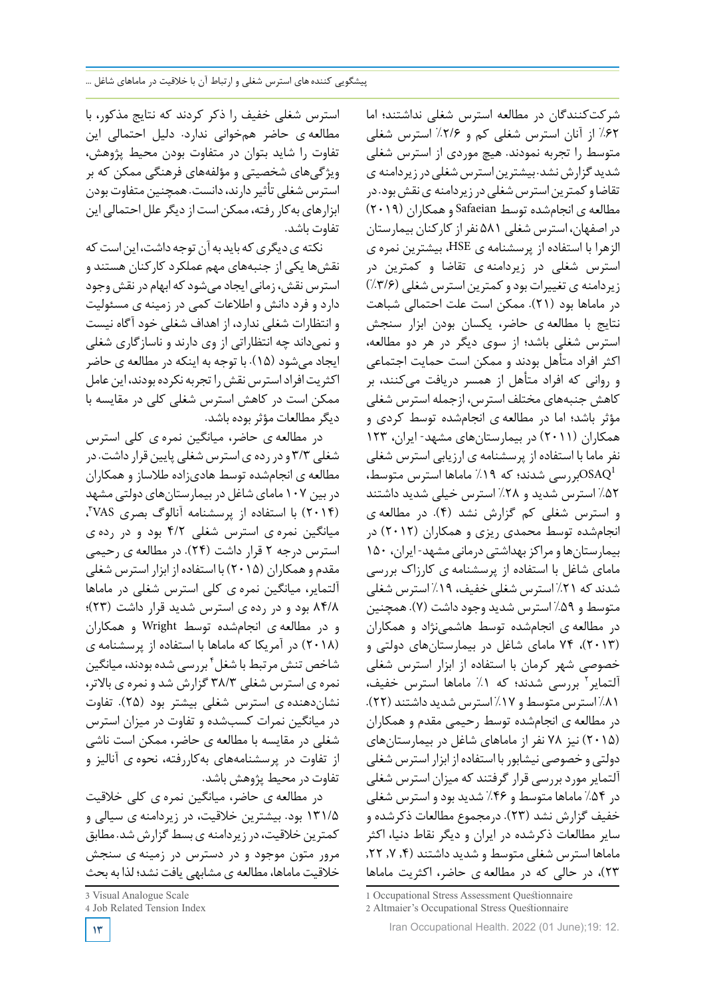استرس شغلی خفیف را ذکر کردند که نتایج مذکور، با مطالعه ی حاضر همخوانی ندارد. دلیل احتمالی این تفاوت را شاید بتوان در متفاوت بودن محیط پژوهش، ویژگیهای شخصیتی و مؤلفههای فرهنگی ممکن که بر استرس شغلی تأثیر دارند، دانست. همچنین متفاوت بودن ابزارهای بهکار رفته، ممکن است از دیگر علل احتمالی این تفاوت باشد.

نکته ی دیگری که باید به آن توجه داشت، این است که نقشها یکی از جنبههای مهم عملکرد کارکنان هستند و استرس نقش، زمانی ایجاد می شود که ابهام در نقش وجود دارد و فرد دانش و اطالعات کمی در زمینه ی مسئولیت و انتظارات شغلی ندارد، از اهداف شغلی خود آگاه نیست و نمیداند چه انتظاراتی از وی دارند و ناسازگاری شغلی ایجاد میشود (15). با توجه به اینکه در مطالعه ی حاضر اکثریت افراد استرس نقش را تجربه نکرده بودند، این عامل ممکن است در کاهش استرس شغلی کلی در مقایسه با دیگرمطالعات مؤثربوده باشد.

در مطالعه ی حاضر، میانگین نمره ی کلی استرس شغلی ۳/۳ و در رده ی استرس شغلی پایین قرار داشت. در مطالعه ی انجامشده توسط هادیزاده طالساز و همکاران در بین ۱۰۷ مامای شاغل در بیمارستانهای دولتی مشهد ، 3 (2014) با استفاده از پرسشنامه آنالوگ بصری VAS میانگین نمره ی استرس شغلی 4/2 بود و در رده ی استرس درجه 2 قرار داشت (24). در مطالعه ی رحیمی مقدم وهمکاران (2015) با استفاده از ابزار استرس شغلی آلتمایر، میانگین نمره ی کلی استرس شغلی در ماماها 84/8 بود و در رده ی استرس شدید قرار داشت (23)؛ و در مطالعه ی انجامشده توسط Wright و همکاران (2018) در آمریکا که ماماها با استفاده از پرسشنامه ی شاخص تنش مرتبط با شغل ٔ بررسی شده بودند، میانگین نمره ی استرس شغلی 38/3 گزارش شد و نمره ی باالتر، نشاندهنده ی استرس شغلی بیشتر بود (25). تفاوت در میانگین نمرات کسبشده و تفاوت در میزان استرس شغلی در مقایسه با مطالعه ی حاضر، ممکن است ناشی از تفاوت در پرسشنامههای بهکاررفته، نحوه ی آنالیز و تفاوت در محیط پژوهش باشد.

در مطالعه ی حاضر، میانگین نمره ی کلی خالقیت 131/5 بود. بیشترین خالقیت، در زیردامنه ی سیالی و کمترین خلاقیت، در زیر دامنه ی بسط گزارش شد. مطابق مرور متون موجود و در دسترس در زمینه ی سنجش خالقیت ماماها، مطالعه ی مشابهی یافت نشد؛ لذا به بحث

**13**

شرکتکنندگان در مطالعه استرس شغلی نداشتند؛ اما %62 از آنان استرس شغلی کم و %2/6 استرس شغلی متوسط را تجربه نمودند. هیچ موردی از استرس شغلی شدید گزارش نشد. بیشترین استرس شغلی در زیردامنه ی تقاضاو کمترین استرس شغلی در زیردامنه ی نقش بود. در مطالعه ی انجامشده توسط Safaeian وهمکاران (2019) دراصفهان، استرس شغلی 581 نفرازکارکنان بیمارستان الزهرا با استفاده از پرسشنامه ی HSE، بیشترین نمره ی استرس شغلی در زیردامنه ی تقاضا و کمترین در زیردامنه ی تغییرات بود و کمترین استرس شغلی (٣/۶٪) در ماماها بود (21). ممکن است علت احتمالی شباهت نتایج با مطالعه ی حاضر، یکسان بودن ابزار سنجش استرس شغلی باشد؛ از سوی دیگر در هر دو مطالعه، اکثر افراد متأهل بودند و ممکن است حمایت اجتماعی و روانی که افراد متأهل از همسر دریافت میکنند، بر کاهش جنبههای مختلف استرس، ازجمله استرس شغلی مؤثر باشد؛ اما در مطالعه ی انجامشده توسط کردی و همکاران (2011) در بیمارستانهای مشهد- ایران، 123 نفر ماما با استفاده از پرسشنامه ی ارزیابی استرس شغلی بررسی شدند؛ که ۱۹٪ ماماها استرس متوسط، $\mathrm{OSAQ}^1$ %52 استرس شدید و %28 استرس خیلی شدید داشتند و استرس شغلی کم گزارش نشد (4). در مطالعه ی انجامشده توسط محمدی ریزی و همکاران (2012) در بیمارستانهاومراکزبهداشتی درمانی مشهد- ایران، 150 مامای شاغل با استفاده از پرسشنامه ی کارزاك بررسی شدند که %21 استرس شغلی خفیف، %19 استرس شغلی متوسط و ۵۹٪ استرس شدید وجود داشت (۷). همچنین در مطالعه ی انجامشده توسط هاشمینژاد و همکاران (2013)، 74 مامای شاغل در بیمارستانهای دولتی و خصوصی شهر کرمان با استفاده از ابزار استرس شغلی ألتمایر<sup>٬</sup> بررسی شدند؛ که ۱٪ ماماها استرس خفیف، %81 استرس متوسطو %17 استرس شدید داشتند (22). در مطالعه ی انجامشده توسط رحیمی مقدم و همکاران (2015) نیز 78 نفر از ماماهای شاغل در بیمارستانهای دولتی و خصوصی نیشابوربا استفاده ازابزاراسترس شغلی آلتمایر موردبررسی قرار گرفتند که میزان استرس شغلی در %54 ماماها متوسط و %46 شدید بود و استرس شغلی خفیف گزارش نشد (23). درمجموع مطالعات ذکرشده و سایر مطالعات ذکرشده در ایران و دیگر نقاط دنیا، اکثر ماماها استرس شغلی متوسط و شدید داشتند (,4 ,7 ,22 23)، در حالی که در مطالعه ی حاضر، اکثریت ماماها

<sup>3</sup> Visual Analogue Scale

<sup>4</sup> Job Related Tension Index

<sup>1</sup> Occupational Stress Assessment Questionnaire

<sup>2</sup> Altmaier's Occupational Stress Questionnaire

Iran Occupational Health. 2022 (01 June);19: 12.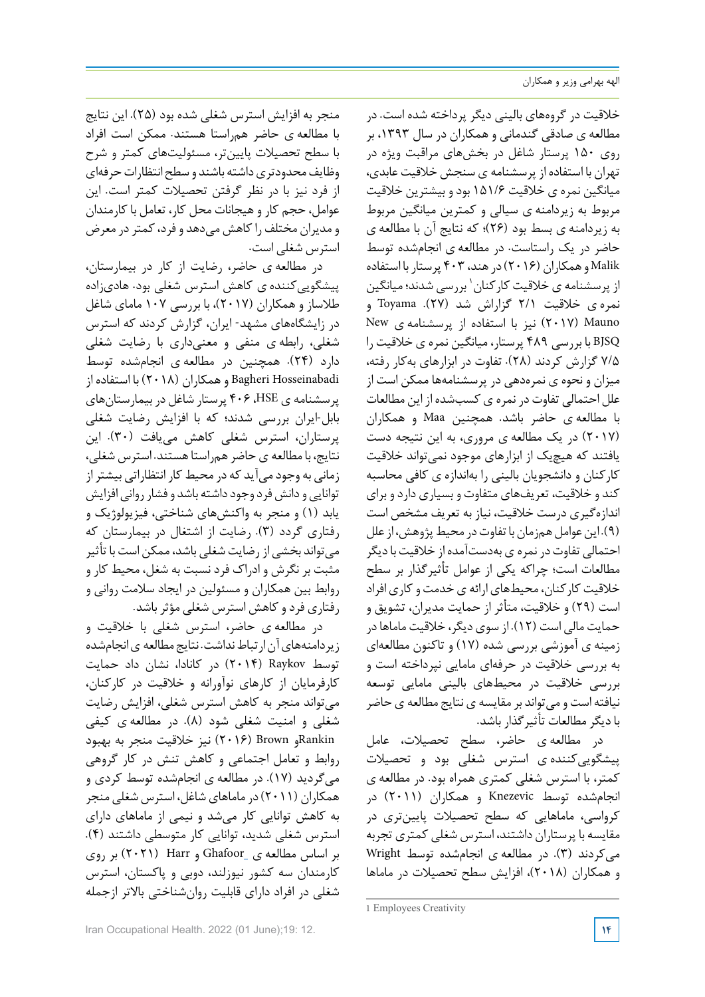خالقیت در گروههای بالینی دیگر پرداخته شده است. در مطالعه ی صادقی گندمانی و همکاران در سال ،1393 بر روی 150 پرستار شاغل در بخشهای مراقبت ویژه در تهران با استفاده از پرسشنامه ی سنجش خالقیت عابدی، میانگین نمره ی خالقیت 151/6 بودو بیشترین خالقیت مربوط به زیردامنه ی سیالی و کمترین میانگین مربوط به زیردامنه ی بسط بود (26)؛ که نتایج آن با مطالعه ی حاضر در یک راستاست. در مطالعه ی انجامشده توسط Malik وهمکاران (2016) درهند، 403 پرستاربا استفاده از پرسشنامه ی خلاقیت کارکنان <sup>۱</sup> بررسی شدند؛ میانگین نمره ی خالقیت 2/1 گزاراش شد (27). Toyama و Mauno) 2017 (نیز با استفاده از پرسشنامه ی New BJSQ با بررسی 489 پرستار، میانگین نمره ی خالقیت را 7/5 گزارش کردند (28). تفاوت در ابزارهای بهکار رفته، میزان و نحوه ی نمرهدهی در پرسشنامهها ممکن است از علل احتمالی تفاوت در نمره ی کسبشده از این مطالعات با مطالعه ی حاضر باشد. همچنین Maa و همکاران (2017) در یک مطالعه ی مروری، به این نتیجه دست یافتند که هیچیک از ابزارهای موجود نمیتواند خلاقیت کارکنان و دانشجویان بالینی را بهاندازه ی کافی محاسبه کند و خلاقیت، تعریفهای متفاوت و بسیاری دارد و برای اندازهگیری درست خالقیت، نیاز به تعریف مشخص است (۹). این عوامل همزمان با تفاوت در محیط پژوهش، از علل احتمالی تفاوت در نمره ی بهدستآمده از خلاقیت با دیگر مطالعات است؛ چراکه یکی از عوامل تأثیرگذار بر سطح خلاقیت کارکنان، محیطهای ارائه ی خدمت و کاری افراد است (29) و خالقیت، متأثر از حمایت مدیران، تشویق و حمایت مالی است (12). از سوی دیگر، خالقیت ماماهادر زمینه ی آموزشی بررسی شده (17) و تاکنون مطالعهای به بررسی خالقیت در حرفهای مامایی نپرداخته است و بررسی خالقیت در محیطهای بالینی مامایی توسعه نیافته است ومیتواند برمقایسه ینتایج مطالعه ی حاضر بادیگرمطالعات تأثیرگذار باشد.

در مطالعه ی حاضر، سطح تحصیالت، عامل پیشگوییکننده ی استرس شغلی بود و تحصیالت کمتر، با استرس شغلی کمتری همراه بود. در مطالعه ی انجامشده توسط Knezevic و همکاران (2011) در کرواسی، ماماهایی که سطح تحصیالت پایینتری در مقایسه با پرستاران داشتند، استرس شغلی کمتری تجربه میکردند (3). در مطالعه ی انجامشده توسط Wright و همکاران (2018)، افزایش سطح تحصیالت در ماماها

منجر به افزایش استرس شغلی شده بود (25). این نتایج با مطالعه ی حاضر همراستا هستند. ممکن است افراد با سطح تحصیالت پایینتر، مسئولیتهای کمتر و شرح وظایف محدودتری داشته باشند و سطح انتظارات حرفهای از فرد نیز با در نظر گرفتن تحصیالت کمتر است. این عوامل، حجم کار وهیجانات محل کار، تعامل با کارمندان و مدیران مختلف راکاهش میدهد و فرد،کمتردر معرض استرس شغلی است.

در مطالعه ی حاضر، رضایت از کار در بیمارستان، پیشگوییکننده ی کاهش استرس شغلی بود. هادیزاده طالساز و همکاران (2017)، با بررسی 107 مامای شاغل در زایشگاههای مشهد- ایران، گزارش کردند که استرس شغلی، رابطه ی منفی و معنیداری با رضایت شغلی دارد (24). همچنین در مطالعه ی انجامشده توسط Hosseinabadi Bagheri وهمکاران (2018) با استفاده از پرسشنامه ی HSE، 406 پرستار شاغل در بیمارستانهای بابل-ایران بررسی شدند؛ که با افزایش رضایت شغلی پرستاران، استرس شغلی کاهش مییافت (30). این نتایج، بامطالعه یحاضرهمراستاهستند. استرس شغلی، زمانی به وجود میآید که در محیط کار انتظاراتی بیشتر از توانایی و دانش فرد وجود داشته باشد و فشار روانی افزایش یابد (1) و منجر به واکنشهای شناختی، فیزیولوژیک و رفتاری گردد (3). رضایت از اشتغال در بیمارستان که میتواند بخشی از رضایت شغلی باشد، ممکن است با تأثیر مثبت بر نگرش و ادراك فرد نسبت به شغل، محیط کار و روابط بین همکاران و مسئولین در ایجاد سالمت روانی و رفتاری فردوکاهش استرس شغلی مؤثرباشد.

در مطالعه ی حاضر، استرس شغلی با خالقیت و زیردامنههای آن ارتباط نداشت. نتایج مطالعه ی انجامشده توسط Raykov) 2014 (در کانادا، نشان داد حمایت کارفرمایان از کارهای نوآورانه و خالقیت در کارکنان، میتواند منجر به کاهش استرس شغلی، افزایش رضایت شغلی و امنیت شغلی شود (8). در مطالعه ی کیفی Rankinو Brown) 2016 (نیز خالقیت منجر به بهبود روابط و تعامل اجتماعی و کاهش تنش در کار گروهی میگردید (17). در مطالعه ی انجامشده توسط کردی و همکاران (۲۰۱۱) در ماماهای شاغل، استرس شغلی منجر به کاهش توانایی کار میشد و نیمی از ماماهای دارای استرس شغلی شدید، توانایی کار متوسطی داشتند (4). بر اساس مطالعه ی Ghafoor و Harr) 2021 (بر روی کارمندان سه کشور نیوزلند، دوبی و پاکستان، استرس شغلی در افراد دارای قابلیت روانشناختی باالتر ازجمله

<sup>1</sup> Employees Creativity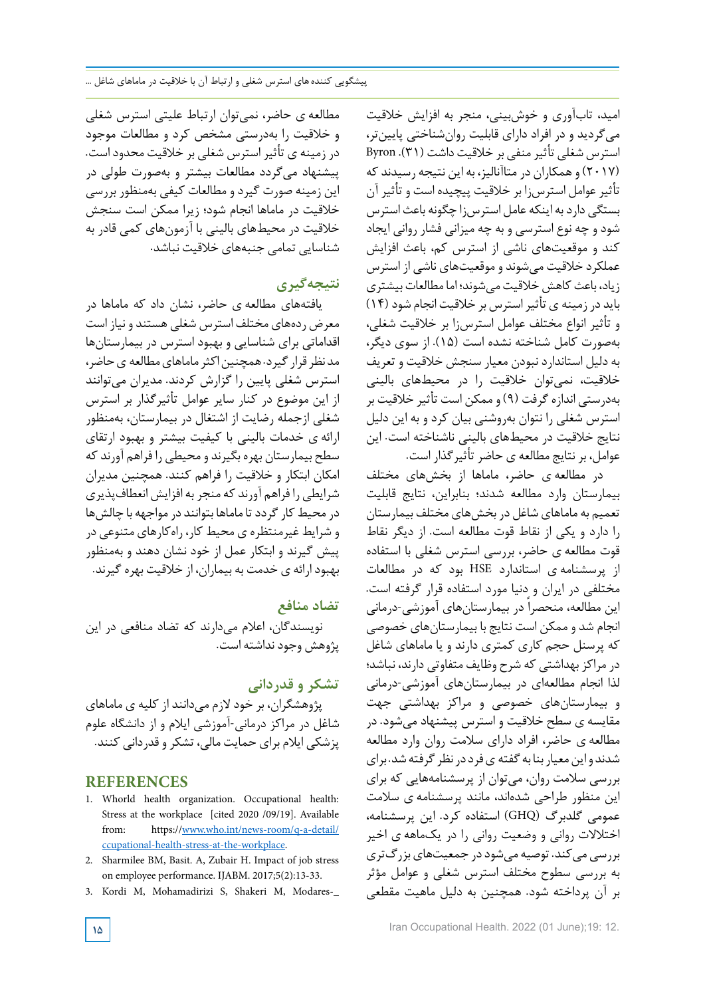امید، تابآوری و خوشبینی، منجر به افزایش خالقیت میگردید و در افراد دارای قابلیت روانشناختی پایینتر، استرس شغلی تأثیرمنفی بر خالقیت داشت (31). Byron (2017) وهمکاران در متاآنالیز، به این نتیجه رسیدند که تأثیر عوامل استرس;ا بر خلاقیت پیچیده است و تأثیر آن بستگی داردبه اینکه عامل استرسزا چگونه باعث استرس شود و چه نوع استرسی و به چه میزانی فشار روانی ایجاد کند و موقعیتهای ناشی از استرس کم، باعث افزایش عملکرد خالقیت میشوند و موقعیتهای ناشی از استرس زیاد، باعث کاهش خلاقیت می شوند؛ اما مطالعات بیشتری باید در زمینه ی تأثیراسترس بر خالقیت انجام شود (14) و تأثیر انواع مختلف عوامل استرسزا بر خالقیت شغلی، بهصورت کامل شناخته نشده است (15). از سوی دیگر، به دلیل استاندارد نبودن معیار سنجش خالقیت و تعریف خالقیت، نمیتوان خالقیت را در محیطهای بالینی بهدرستی اندازهگرفت (9) و ممکن است تأثیر خالقیت بر استرس شغلی را نتوان بهروشنی بیان کرد و به این دلیل نتایج خالقیت در محیطهای بالینی ناشناخته است. این عوامل، برنتایج مطالعه ی حاضرتأثیرگذار است.

در مطالعه ی حاضر، ماماها از بخشهای مختلف بیمارستان وارد مطالعه شدند؛ بنابراین، نتایج قابلیت تعمیم به ماماهای شاغل در بخشهای مختلف بیمارستان را دارد و یکی از نقاط قوت مطالعه است. از دیگر نقاط قوت مطالعه ی حاضر، بررسی استرس شغلی با استفاده از پرسشنامه ی استاندارد HSE بود که در مطالعات مختلفی در ایران و دنیا مورد استفاده قرار گرفته است. این مطالعه، منحصراً در بیمارستانهای آموزشی-درمانی انجام شد و ممکن است نتایج با بیمارستانهای خصوصی که پرسنل حجم کاری کمتری دارند و یا ماماهای شاغل در مراکزبهداشتی که شرح وظایف متفاوتی دارند، نباشد؛ لذا انجام مطالعهای در بیمارستانهای آموزشی-درمانی و بیمارستانهای خصوصی و مراکز بهداشتی جهت مقایسه ی سطح خالقیت و استرس پیشنهاد میشود. در مطالعه ی حاضر، افراد دارای سالمت روان وارد مطالعه شدند واین معیار بنا به گفته ی فرد در نظر گرفته شد. برای بررسی سالمت روان، میتوان از پرسشنامههایی که برای این منظور طراحی شدهاند، مانند پرسشنامه ی سالمت عمومی گلدبرگ (GHQ (استفاده کرد. این پرسشنامه، اختالالت روانی و وضعیت روانی را در یکماهه ی اخیر بررسی می کند. توصیه می شود در جمعیتهای بزرگتری به بررسی سطوح مختلف استرس شغلی و عوامل مؤثر بر آن پرداخته شود. همچنین به دلیل ماهیت مقطعی

مطالعه ی حاضر، نمیتوان ارتباط علیتی استرس شغلی و خالقیت را بهدرستی مشخص کرد و مطالعات موجود در زمینه ی تأثیر استرس شغلی بر خلاقیت محدود است. پیشنهاد میگردد مطالعات بیشتر و بهصورت طولی در این زمینه صورت گیرد و مطالعات کیفی بهمنظور بررسی خالقیت در ماماها انجام شود؛ زیرا ممکن است سنجش خالقیت در محیطهای بالینی با آزمونهای کمی قادر به شناسایی تمامی جنبههای خالقیت نباشد.

# **نتیجهگیری**

یافتههای مطالعه ی حاضر، نشان داد که ماماها در معرض ردههای مختلف استرس شغلی هستند و نیاز است اقداماتی برای شناسایی و بهبود استرس در بیمارستانها مد نظر قرار گیرد. همچنین اکثر ماماهای مطالعه ی حاضر، استرس شغلی پایین را گزارش کردند. مدیران میتوانند از این موضوع در کنار سایر عوامل تأثیرگذار بر استرس شغلی ازجمله رضایت از اشتغال در بیمارستان، بهمنظور ارائه ی خدمات بالینی با کیفیت بیشتر و بهبود ارتقای سطح بیمارستان بهره بگیرند و محیطی را فراهم آورند که امکان ابتکار و خالقیت را فراهم کنند. همچنین مدیران شرایطی را فراهم آورند که منجربه افزایش انعطافپذیری در محیط کار گردد تا ماماها بتوانند در مواجهه با چالش ها و شرایط غیرمنتظره ی محیط کار، راهکارهای متنوعی در پیش گیرند و ابتکار عمل از خود نشان دهند و بهمنظور بهبودارائه ی خدمت به بیماران، از خالقیت بهرهگیرند.

# **تضاد منافع**

نویسندگان، اعالم میدارند که تضاد منافعی در این پژوهش وجودنداشته است.

**تشکر و قدردانی**

پژوهشگران، بر خود الزم میدانند از کلیه ی ماماهای شاغل در مراکز درمانی-آموزشی ایالم و از دانشگاه علوم پزشکی ایالم برای حمایت مالی، تشکرو قدردانی کنند.

# **REFERENCES**

- 1. Whorld health organization. Occupational health: Stress at the workplace [cited 2020 /09/19]. Available from: https://www.who.int/news-room/q-a-detail/ ccupational-health-stress-at-the-workplace.
- 2. Sharmilee BM, Basit. A, Zubair H. Impact of job stress on employee performance. IJABM. 2017;5(2):13-33.
- 3. Kordi M, Mohamadirizi S, Shakeri M, Modares-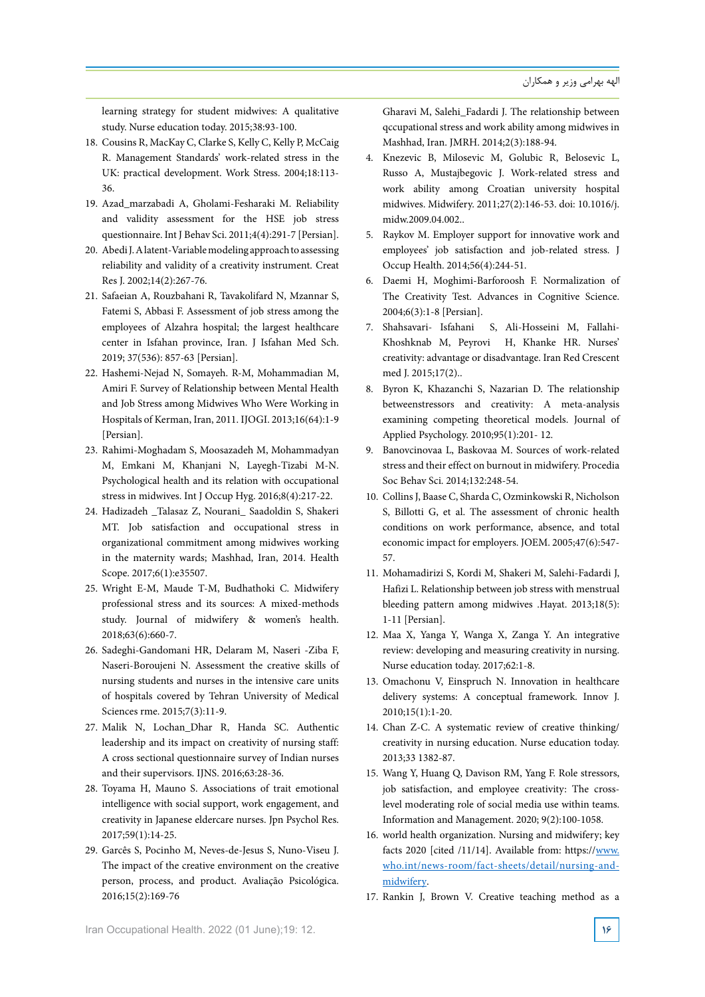learning strategy for student midwives: A qualitative study. Nurse education today. 2015;38:93-100.

- 18. Cousins R, MacKay C, Clarke S, Kelly C, Kelly P, McCaig R. Management Standards' work-related stress in the UK: practical development. Work Stress. 2004;18:113-36.
- 19. Azad marzabadi A, Gholami-Fesharaki M. Reliability and validity assessment for the HSE job stress questionnaire. Int J Behav Sci. 2011;4(4):291-7 [Persian].
- 20. Abedi J. A latent-Variable modeling approach to assessing reliability and validity of a creativity instrument. Creat Res J. 2002;14(2):267-76.
- 21. Safaeian A, Rouzbahani R, Tavakolifard N, Mzannar S, Fatemi S, Abbasi F. Assessment of job stress among the employees of Alzahra hospital; the largest healthcare center in Isfahan province, Iran. J Isfahan Med Sch. 2019; 37(536): 857-63 [Persian].
- 22. Hashemi-Nejad N, Somayeh. R-M, Mohammadian M, Amiri F. Survey of Relationship between Mental Health and Job Stress among Midwives Who Were Working in Hospitals of Kerman, Iran, 2011. IJOGI. 2013;16(64):1-9 [Persian].
- 23. Rahimi-Moghadam S, Moosazadeh M, Mohammadyan M, Emkani M, Khanjani N, Layegh-Tizabi M-N. Psychological health and its relation with occupational stress in midwives. Int J Occup Hyg.  $2016;8(4):217-22$ .
- 24. Hadizadeh \_Talasaz Z, Nourani\_ Saadoldin S, Shakeri MT. Job satisfaction and occupational stress in organizational commitment among midwives working in the maternity wards; Mashhad, Iran, 2014. Health Scope. 2017;6(1):e35507.
- 25. Wright E-M, Maude T-M, Budhathoki C. Midwifery professional stress and its sources: A mixed-methods study. Journal of midwifery & women's health. 2018;63(6):660-7.
- 26. Sadeghi-Gandomani HR, Delaram M, Naseri -Ziba F, Naseri-Boroujeni N. Assessment the creative skills of nursing students and nurses in the intensive care units of hospitals covered by Tehran University of Medical Sciences rme. 2015;7(3):11-9.
- 27. Malik N, Lochan Dhar R, Handa SC. Authentic leadership and its impact on creativity of nursing staff: A cross sectional questionnaire survey of Indian nurses and their supervisors. IJNS. 2016;63:28-36.
- 28. Toyama H, Mauno S. Associations of trait emotional intelligence with social support, work engagement, and creativity in Japanese eldercare nurses. Jpn Psychol Res. 2017;59(1):14-25.
- 29. Garcês S, Pocinho M, Neves-de-Jesus S, Nuno-Viseu J. The impact of the creative environment on the creative person, process, and product. Avaliação Psicológica. 2016;15(2):169-76

Gharavi M, Salehi\_Fadardi J. The relationship between gccupational stress and work ability among midwives in Mashhad, Iran. JMRH. 2014;2(3):188-94.

- 4. Knezevic B, Milosevic M, Golubic R, Belosevic L, Russo A, Mustajbegovic J. Work-related stress and work ability among Croatian university hospital midwives. Midwifery. 2011;27(2):146-53. doi: 10.1016/j. midw.2009.04.002..
- 5. Raykov M. Employer support for innovative work and employees' job satisfaction and job-related stress. J Occup Health. 2014;56(4):244-51.
- 6. Daemi H, Moghimi-Barforoosh F. Normalization of The Creativity Test. Advances in Cognitive Science. 2004;6(3):1-8 [Persian].
- Khoshknab M, Peyrovi H, Khanke HR. Nurses' 7. Shahsavari- Isfahani - S, Ali-Hosseini M, Fallahicreativity: advantage or disadvantage. Iran Red Crescent med J. 2015;17(2)..
- 8. Byron K, Khazanchi S, Nazarian D. The relationship betweenstressors and creativity: A meta-analysis examining competing theoretical models. Journal of Applied Psychology. 2010;95(1):201-12.
- 9. Banovcinovaa L, Baskovaa M. Sources of work-related stress and their effect on burnout in midwifery. Procedia Soc Behav Sci. 2014;132:248-54.
- 10. Collins J, Baase C, Sharda C, Ozminkowski R, Nicholson S, Billotti G, et al. The assessment of chronic health conditions on work performance, absence, and total economic impact for employers. JOEM. 2005;47(6):547-57.
- 11. Mohamadirizi S, Kordi M, Shakeri M, Salehi-Fadardi J, Hafizi L. Relationship between job stress with menstrual bleeding pattern among midwives .Hayat. 2013;18(5):  $1-11$  [Persian].
- 12. Maa X, Yanga Y, Wanga X, Zanga Y. An integrative review: developing and measuring creativity in nursing. Nurse education today. 2017;62:1-8.
- 13. Omachonu V, Einspruch N. Innovation in healthcare delivery systems: A conceptual framework. Innov J.  $2010;15(1):1-20.$
- 14. Chan Z-C. A systematic review of creative thinking/ creativity in nursing education. Nurse education today. 2013;33 1382-87.
- 15. Wang Y, Huang Q, Davison RM, Yang F. Role stressors, level moderating role of social media use within teams. job satisfaction, and employee creativity: The cross-Information and Management. 2020; 9(2):100-1058.
- 16. world health organization. Nursing and midwifery; key facts  $2020$  [cited  $/11/14$ ]. Available from: https://www. who.int/news-room/fact-sheets/detail/nursing-and-<br>midwifery.
- 17. Rankin J, Brown V. Creative teaching method as a